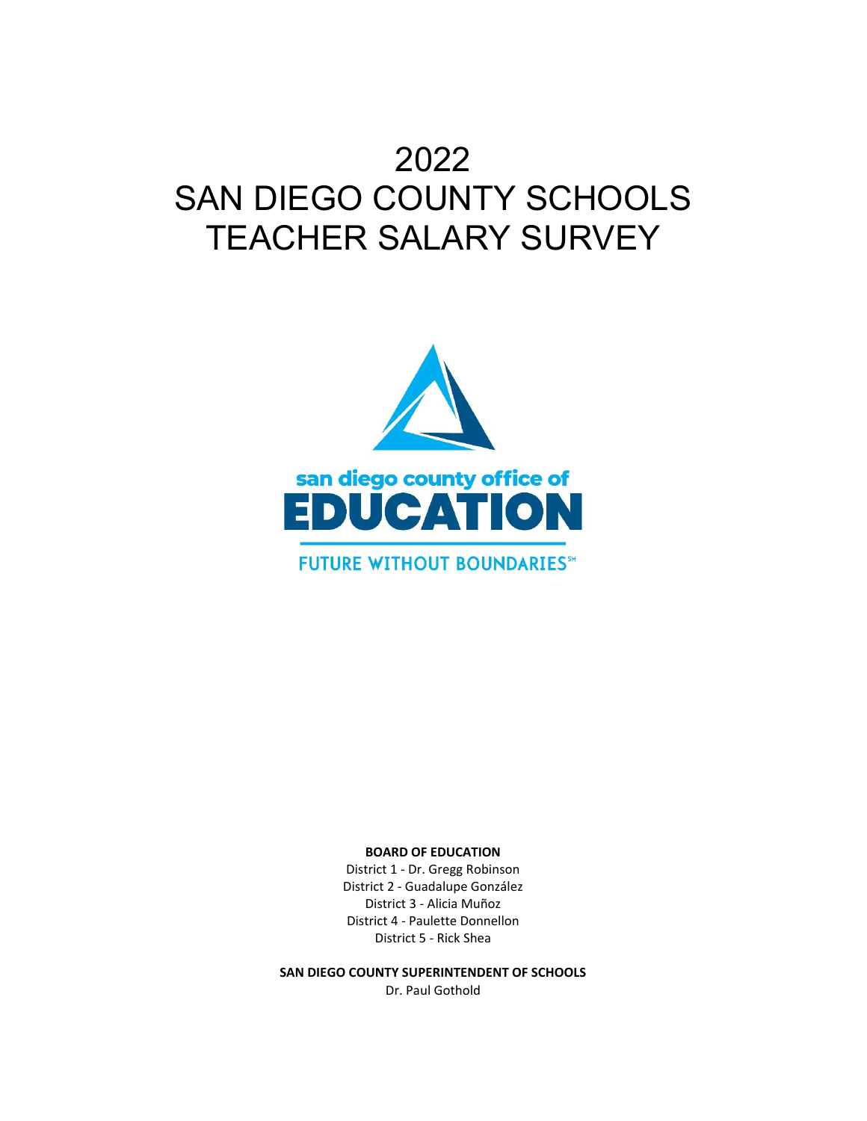# 2022 SAN DIEGO COUNTY SCHOOLS TEACHER SALARY SURVEY



#### **BOARD OF EDUCATION**

District 1 - Dr. Gregg Robinson District 2 - Guadalupe González District 3 - Alicia Muñoz District 4 - Paulette Donnellon District 5 - Rick Shea

**SAN DIEGO COUNTY SUPERINTENDENT OF SCHOOLS** Dr. Paul Gothold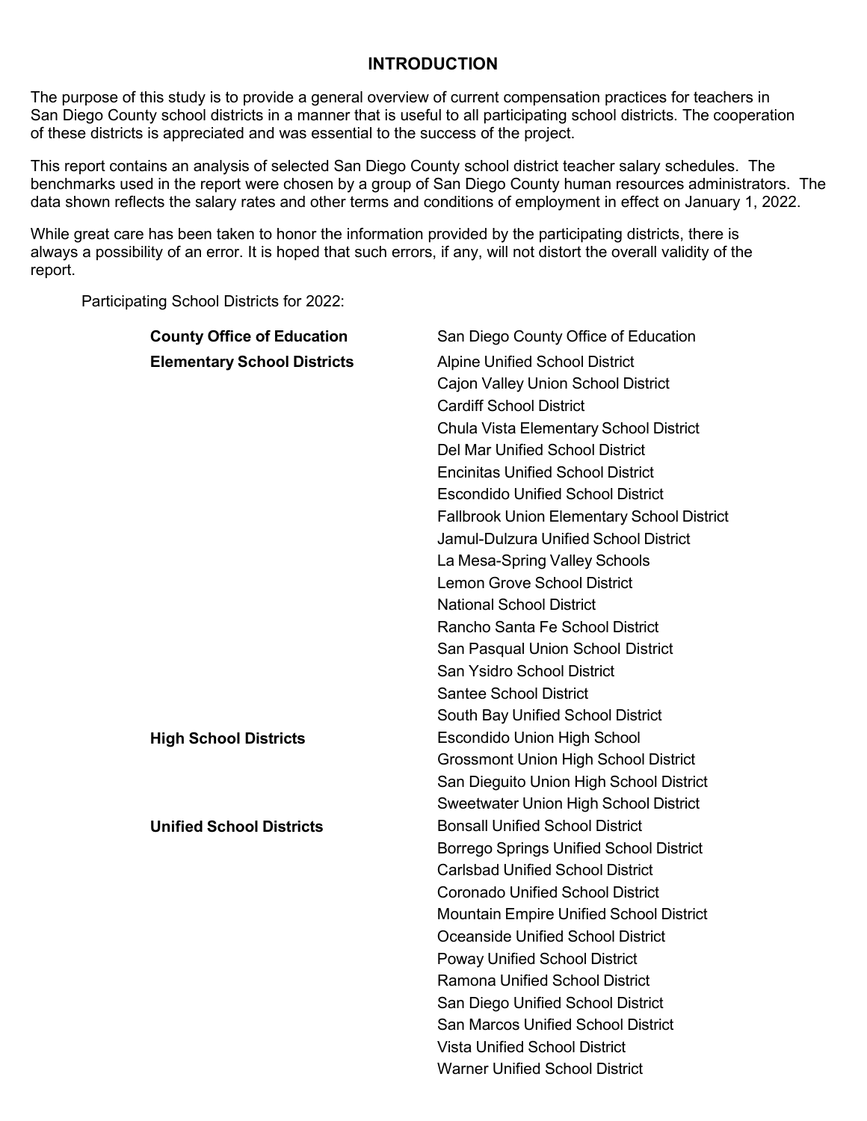#### **INTRODUCTION**

The purpose of this study is to provide a general overview of current compensation practices for teachers in San Diego County school districts in a manner that is useful to all participating school districts. The cooperation of these districts is appreciated and was essential to the success of the project.

This report contains an analysis of selected San Diego County school district teacher salary schedules. The benchmarks used in the report were chosen by a group of San Diego County human resources administrators. The data shown reflects the salary rates and other terms and conditions of employment in effect on January 1, 2022.

While great care has been taken to honor the information provided by the participating districts, there is always a possibility of an error. It is hoped that such errors, if any, will not distort the overall validity of the report.

Participating School Districts for 2022:

| <b>County Office of Education</b>  | San Diego County Office of Education              |
|------------------------------------|---------------------------------------------------|
| <b>Elementary School Districts</b> | <b>Alpine Unified School District</b>             |
|                                    | Cajon Valley Union School District                |
|                                    | <b>Cardiff School District</b>                    |
|                                    | Chula Vista Elementary School District            |
|                                    | <b>Del Mar Unified School District</b>            |
|                                    | <b>Encinitas Unified School District</b>          |
|                                    | <b>Escondido Unified School District</b>          |
|                                    | <b>Fallbrook Union Elementary School District</b> |
|                                    | <b>Jamul-Dulzura Unified School District</b>      |
|                                    | La Mesa-Spring Valley Schools                     |
|                                    | <b>Lemon Grove School District</b>                |
|                                    | <b>National School District</b>                   |
|                                    | Rancho Santa Fe School District                   |
|                                    | San Pasqual Union School District                 |
|                                    | <b>San Ysidro School District</b>                 |
|                                    | <b>Santee School District</b>                     |
|                                    | South Bay Unified School District                 |
| <b>High School Districts</b>       | <b>Escondido Union High School</b>                |
|                                    | <b>Grossmont Union High School District</b>       |
|                                    | San Dieguito Union High School District           |
|                                    | Sweetwater Union High School District             |
| <b>Unified School Districts</b>    | <b>Bonsall Unified School District</b>            |
|                                    | <b>Borrego Springs Unified School District</b>    |
|                                    | <b>Carlsbad Unified School District</b>           |
|                                    | <b>Coronado Unified School District</b>           |
|                                    | Mountain Empire Unified School District           |
|                                    | Oceanside Unified School District                 |
|                                    | <b>Poway Unified School District</b>              |
|                                    | Ramona Unified School District                    |
|                                    | San Diego Unified School District                 |
|                                    | <b>San Marcos Unified School District</b>         |
|                                    | <b>Vista Unified School District</b>              |
|                                    | <b>Warner Unified School District</b>             |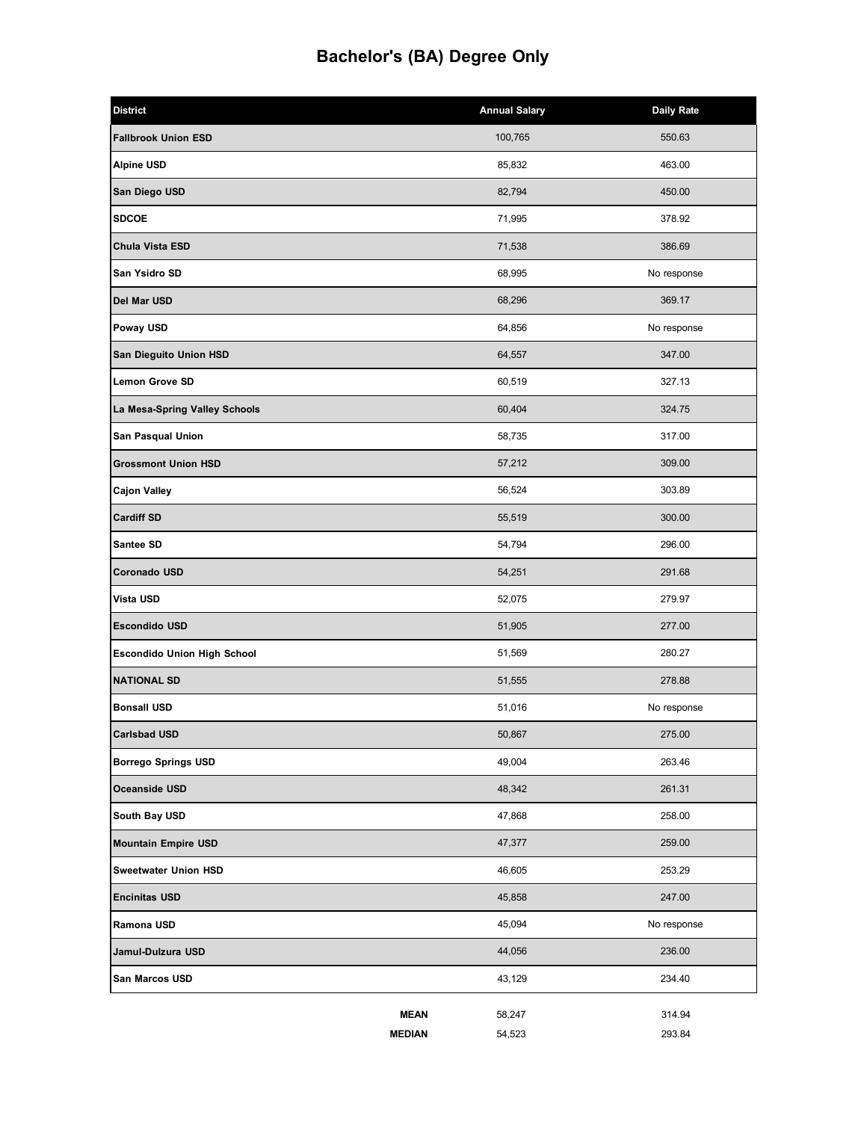# **Bachelor's (BA) Degree Only**

| <b>District</b>                    | <b>Annual Salary</b> | <b>Daily Rate</b> |
|------------------------------------|----------------------|-------------------|
| <b>Fallbrook Union ESD</b>         | 100,765              | 550.63            |
| <b>Alpine USD</b>                  | 85,832               | 463.00            |
| San Diego USD                      | 82,794               | 450.00            |
| <b>SDCOE</b>                       | 71,995               | 378.92            |
| Chula Vista ESD                    | 71,538               | 386.69            |
| San Ysidro SD                      | 68,995               | No response       |
| Del Mar USD                        | 68,296               | 369.17            |
| Poway USD                          | 64,856               | No response       |
| San Dieguito Union HSD             | 64,557               | 347.00            |
| Lemon Grove SD                     | 60,519               | 327.13            |
| La Mesa-Spring Valley Schools      | 60,404               | 324.75            |
| San Pasqual Union                  | 58,735               | 317.00            |
| <b>Grossmont Union HSD</b>         | 57,212               | 309.00            |
| <b>Cajon Valley</b>                | 56,524               | 303.89            |
| <b>Cardiff SD</b>                  | 55,519               | 300.00            |
| Santee SD                          | 54,794               | 296.00            |
| Coronado USD                       | 54,251               | 291.68            |
| Vista USD                          | 52,075               | 279.97            |
| <b>Escondido USD</b>               | 51,905               | 277.00            |
| <b>Escondido Union High School</b> | 51,569               | 280.27            |
| <b>NATIONAL SD</b>                 | 51,555               | 278.88            |
| <b>Bonsall USD</b>                 | 51,016               | No response       |
| <b>Carlsbad USD</b>                | 50,867               | 275.00            |
| <b>Borrego Springs USD</b>         | 49,004               | 263.46            |
| Oceanside USD                      | 48,342               | 261.31            |
| South Bay USD                      | 47,868               | 258.00            |
| <b>Mountain Empire USD</b>         | 47,377               | 259.00            |
| <b>Sweetwater Union HSD</b>        | 46,605               | 253.29            |
| <b>Encinitas USD</b>               | 45,858               | 247.00            |
| Ramona USD                         | 45,094               | No response       |
| Jamul-Dulzura USD                  | 44,056               | 236.00            |
| San Marcos USD                     | 43,129               | 234.40            |
| <b>MEAN</b>                        | 58,247               | 314.94            |
| <b>MEDIAN</b>                      | 54,523               | 293.84            |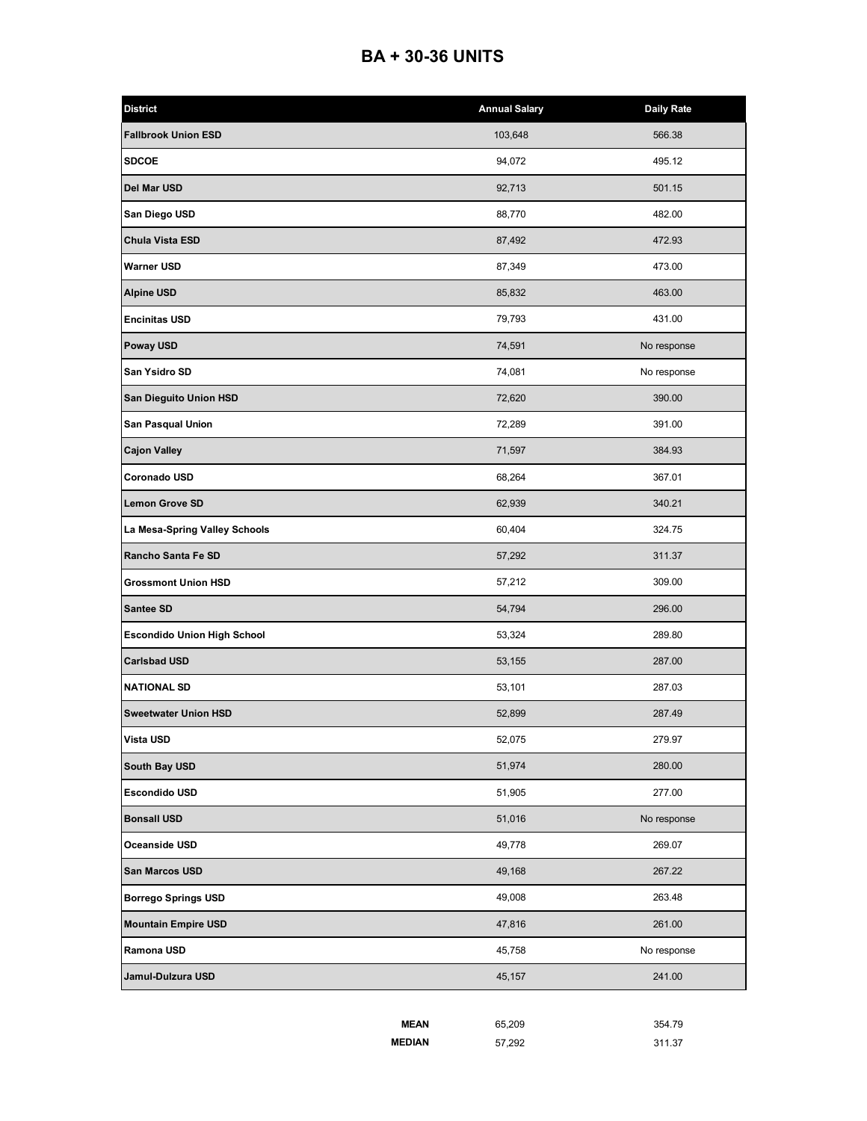#### **BA + 30-36 UNITS**

| <b>Fallbrook Union ESD</b><br>103,648<br>566.38<br><b>SDCOE</b><br>94,072<br>495.12<br>92,713<br>501.15<br>88,770<br>482.00<br>Chula Vista ESD<br>87,492<br>472.93<br><b>Warner USD</b><br>87,349<br>473.00<br>85,832<br>463.00<br><b>Encinitas USD</b><br>79,793<br>431.00<br>74,591<br>No response<br>San Ysidro SD<br>74,081<br>No response<br>72,620<br>390.00<br>72,289<br>391.00<br>71,597<br>384.93<br>Coronado USD<br>68,264<br>367.01<br>62,939<br>340.21<br>60,404<br>324.75<br>Rancho Santa Fe SD<br>57,292<br>311.37<br><b>Grossmont Union HSD</b><br>57,212<br>309.00<br>Santee SD<br>54,794<br>296.00<br>53,324<br>289.80<br><b>Carlsbad USD</b><br>287.00<br>53,155<br>53,101<br>287.03<br><b>Sweetwater Union HSD</b><br>287.49<br>52,899<br><b>Vista USD</b><br>52,075<br>279.97<br>51,974<br>280.00<br><b>Escondido USD</b><br>51,905<br>277.00<br>51,016<br>No response<br>Oceanside USD<br>49,778<br>269.07<br>San Marcos USD<br>49,168<br>267.22<br>49,008<br><b>Borrego Springs USD</b><br>263.48<br>47,816<br>261.00<br>45,758<br>No response<br>Jamul-Dulzura USD<br>45,157<br>241.00 | <b>District</b>                    | <b>Annual Salary</b> | <b>Daily Rate</b> |
|---------------------------------------------------------------------------------------------------------------------------------------------------------------------------------------------------------------------------------------------------------------------------------------------------------------------------------------------------------------------------------------------------------------------------------------------------------------------------------------------------------------------------------------------------------------------------------------------------------------------------------------------------------------------------------------------------------------------------------------------------------------------------------------------------------------------------------------------------------------------------------------------------------------------------------------------------------------------------------------------------------------------------------------------------------------------------------------------------------------|------------------------------------|----------------------|-------------------|
|                                                                                                                                                                                                                                                                                                                                                                                                                                                                                                                                                                                                                                                                                                                                                                                                                                                                                                                                                                                                                                                                                                               |                                    |                      |                   |
|                                                                                                                                                                                                                                                                                                                                                                                                                                                                                                                                                                                                                                                                                                                                                                                                                                                                                                                                                                                                                                                                                                               |                                    |                      |                   |
|                                                                                                                                                                                                                                                                                                                                                                                                                                                                                                                                                                                                                                                                                                                                                                                                                                                                                                                                                                                                                                                                                                               | Del Mar USD                        |                      |                   |
|                                                                                                                                                                                                                                                                                                                                                                                                                                                                                                                                                                                                                                                                                                                                                                                                                                                                                                                                                                                                                                                                                                               | San Diego USD                      |                      |                   |
|                                                                                                                                                                                                                                                                                                                                                                                                                                                                                                                                                                                                                                                                                                                                                                                                                                                                                                                                                                                                                                                                                                               |                                    |                      |                   |
|                                                                                                                                                                                                                                                                                                                                                                                                                                                                                                                                                                                                                                                                                                                                                                                                                                                                                                                                                                                                                                                                                                               |                                    |                      |                   |
|                                                                                                                                                                                                                                                                                                                                                                                                                                                                                                                                                                                                                                                                                                                                                                                                                                                                                                                                                                                                                                                                                                               | <b>Alpine USD</b>                  |                      |                   |
|                                                                                                                                                                                                                                                                                                                                                                                                                                                                                                                                                                                                                                                                                                                                                                                                                                                                                                                                                                                                                                                                                                               |                                    |                      |                   |
|                                                                                                                                                                                                                                                                                                                                                                                                                                                                                                                                                                                                                                                                                                                                                                                                                                                                                                                                                                                                                                                                                                               | <b>Poway USD</b>                   |                      |                   |
|                                                                                                                                                                                                                                                                                                                                                                                                                                                                                                                                                                                                                                                                                                                                                                                                                                                                                                                                                                                                                                                                                                               |                                    |                      |                   |
|                                                                                                                                                                                                                                                                                                                                                                                                                                                                                                                                                                                                                                                                                                                                                                                                                                                                                                                                                                                                                                                                                                               | San Dieguito Union HSD             |                      |                   |
|                                                                                                                                                                                                                                                                                                                                                                                                                                                                                                                                                                                                                                                                                                                                                                                                                                                                                                                                                                                                                                                                                                               | <b>San Pasqual Union</b>           |                      |                   |
|                                                                                                                                                                                                                                                                                                                                                                                                                                                                                                                                                                                                                                                                                                                                                                                                                                                                                                                                                                                                                                                                                                               | <b>Cajon Valley</b>                |                      |                   |
|                                                                                                                                                                                                                                                                                                                                                                                                                                                                                                                                                                                                                                                                                                                                                                                                                                                                                                                                                                                                                                                                                                               |                                    |                      |                   |
|                                                                                                                                                                                                                                                                                                                                                                                                                                                                                                                                                                                                                                                                                                                                                                                                                                                                                                                                                                                                                                                                                                               | <b>Lemon Grove SD</b>              |                      |                   |
|                                                                                                                                                                                                                                                                                                                                                                                                                                                                                                                                                                                                                                                                                                                                                                                                                                                                                                                                                                                                                                                                                                               | La Mesa-Spring Valley Schools      |                      |                   |
|                                                                                                                                                                                                                                                                                                                                                                                                                                                                                                                                                                                                                                                                                                                                                                                                                                                                                                                                                                                                                                                                                                               |                                    |                      |                   |
|                                                                                                                                                                                                                                                                                                                                                                                                                                                                                                                                                                                                                                                                                                                                                                                                                                                                                                                                                                                                                                                                                                               |                                    |                      |                   |
|                                                                                                                                                                                                                                                                                                                                                                                                                                                                                                                                                                                                                                                                                                                                                                                                                                                                                                                                                                                                                                                                                                               |                                    |                      |                   |
|                                                                                                                                                                                                                                                                                                                                                                                                                                                                                                                                                                                                                                                                                                                                                                                                                                                                                                                                                                                                                                                                                                               | <b>Escondido Union High School</b> |                      |                   |
|                                                                                                                                                                                                                                                                                                                                                                                                                                                                                                                                                                                                                                                                                                                                                                                                                                                                                                                                                                                                                                                                                                               |                                    |                      |                   |
|                                                                                                                                                                                                                                                                                                                                                                                                                                                                                                                                                                                                                                                                                                                                                                                                                                                                                                                                                                                                                                                                                                               | <b>NATIONAL SD</b>                 |                      |                   |
|                                                                                                                                                                                                                                                                                                                                                                                                                                                                                                                                                                                                                                                                                                                                                                                                                                                                                                                                                                                                                                                                                                               |                                    |                      |                   |
|                                                                                                                                                                                                                                                                                                                                                                                                                                                                                                                                                                                                                                                                                                                                                                                                                                                                                                                                                                                                                                                                                                               |                                    |                      |                   |
|                                                                                                                                                                                                                                                                                                                                                                                                                                                                                                                                                                                                                                                                                                                                                                                                                                                                                                                                                                                                                                                                                                               | South Bay USD                      |                      |                   |
|                                                                                                                                                                                                                                                                                                                                                                                                                                                                                                                                                                                                                                                                                                                                                                                                                                                                                                                                                                                                                                                                                                               |                                    |                      |                   |
|                                                                                                                                                                                                                                                                                                                                                                                                                                                                                                                                                                                                                                                                                                                                                                                                                                                                                                                                                                                                                                                                                                               | <b>Bonsall USD</b>                 |                      |                   |
|                                                                                                                                                                                                                                                                                                                                                                                                                                                                                                                                                                                                                                                                                                                                                                                                                                                                                                                                                                                                                                                                                                               |                                    |                      |                   |
|                                                                                                                                                                                                                                                                                                                                                                                                                                                                                                                                                                                                                                                                                                                                                                                                                                                                                                                                                                                                                                                                                                               |                                    |                      |                   |
|                                                                                                                                                                                                                                                                                                                                                                                                                                                                                                                                                                                                                                                                                                                                                                                                                                                                                                                                                                                                                                                                                                               |                                    |                      |                   |
|                                                                                                                                                                                                                                                                                                                                                                                                                                                                                                                                                                                                                                                                                                                                                                                                                                                                                                                                                                                                                                                                                                               | <b>Mountain Empire USD</b>         |                      |                   |
|                                                                                                                                                                                                                                                                                                                                                                                                                                                                                                                                                                                                                                                                                                                                                                                                                                                                                                                                                                                                                                                                                                               | Ramona USD                         |                      |                   |
|                                                                                                                                                                                                                                                                                                                                                                                                                                                                                                                                                                                                                                                                                                                                                                                                                                                                                                                                                                                                                                                                                                               |                                    |                      |                   |

| <b>MEAN</b>   | 65.209 | 354.79 |
|---------------|--------|--------|
| <b>MEDIAN</b> | 57.292 | 311.37 |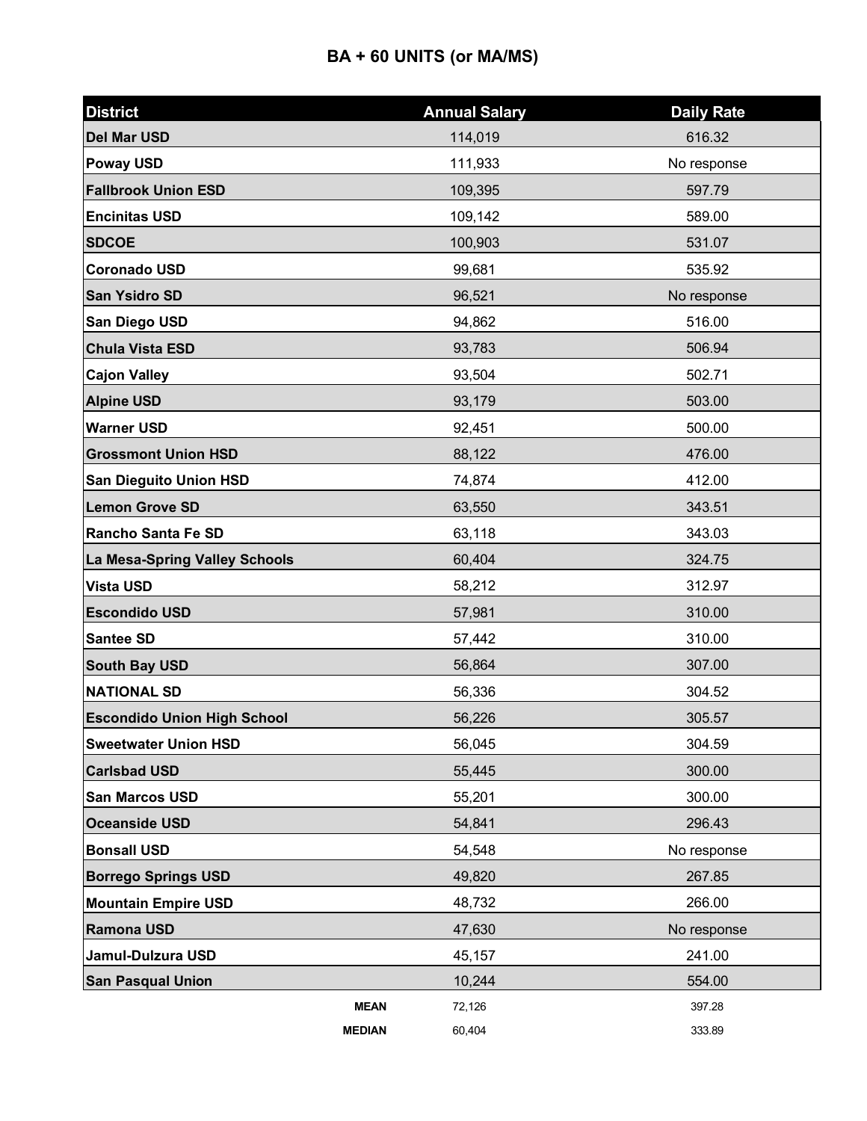| <b>District</b>                    | <b>Annual Salary</b> | <b>Daily Rate</b> |
|------------------------------------|----------------------|-------------------|
| <b>Del Mar USD</b>                 | 114,019              | 616.32            |
| <b>Poway USD</b>                   | 111,933              | No response       |
| <b>Fallbrook Union ESD</b>         | 109,395              | 597.79            |
| <b>Encinitas USD</b>               | 109,142              | 589.00            |
| <b>SDCOE</b>                       | 100,903              | 531.07            |
| <b>Coronado USD</b>                | 99,681               | 535.92            |
| <b>San Ysidro SD</b>               | 96,521               | No response       |
| San Diego USD                      | 94,862               | 516.00            |
| <b>Chula Vista ESD</b>             | 93,783               | 506.94            |
| <b>Cajon Valley</b>                | 93,504               | 502.71            |
| <b>Alpine USD</b>                  | 93,179               | 503.00            |
| <b>Warner USD</b>                  | 92,451               | 500.00            |
| <b>Grossmont Union HSD</b>         | 88,122               | 476.00            |
| <b>San Dieguito Union HSD</b>      | 74,874               | 412.00            |
| <b>Lemon Grove SD</b>              | 63,550               | 343.51            |
| Rancho Santa Fe SD                 | 63,118               | 343.03            |
| La Mesa-Spring Valley Schools      | 60,404               | 324.75            |
| <b>Vista USD</b>                   | 58,212               | 312.97            |
| <b>Escondido USD</b>               | 57,981               | 310.00            |
| Santee SD                          | 57,442               | 310.00            |
| <b>South Bay USD</b>               | 56,864               | 307.00            |
| <b>NATIONAL SD</b>                 | 56,336               | 304.52            |
| <b>Escondido Union High School</b> | 56,226               | 305.57            |
| <b>Sweetwater Union HSD</b>        | 56,045               | 304.59            |
| <b>Carlsbad USD</b>                | 55,445               | 300.00            |
| <b>San Marcos USD</b>              | 55,201               | 300.00            |
| <b>Oceanside USD</b>               | 54,841               | 296.43            |
| <b>Bonsall USD</b>                 | 54,548               | No response       |
| <b>Borrego Springs USD</b>         | 49,820               | 267.85            |
| <b>Mountain Empire USD</b>         | 48,732               | 266.00            |
| Ramona USD                         | 47,630               | No response       |
| Jamul-Dulzura USD                  | 45,157               | 241.00            |
| <b>San Pasqual Union</b>           | 10,244               | 554.00            |
| <b>MEAN</b>                        | 72,126               | 397.28            |
| <b>MEDIAN</b>                      | 60,404               | 333.89            |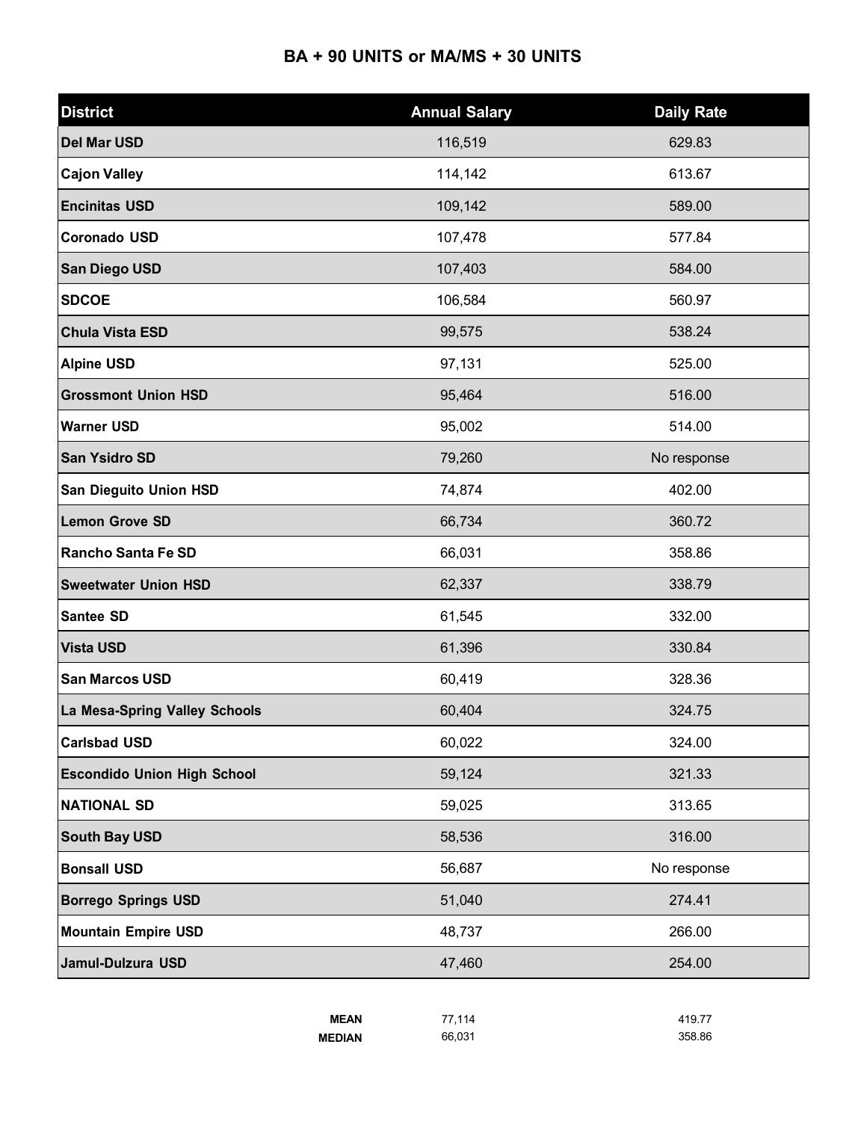### **BA + 90 UNITS or MA/MS + 30 UNITS**

| <b>District</b>                    | <b>Annual Salary</b> | <b>Daily Rate</b> |
|------------------------------------|----------------------|-------------------|
| <b>Del Mar USD</b>                 | 116,519              | 629.83            |
| <b>Cajon Valley</b>                | 114,142              | 613.67            |
| <b>Encinitas USD</b>               | 109,142              | 589.00            |
| <b>Coronado USD</b>                | 107,478              | 577.84            |
| San Diego USD                      | 107,403              | 584.00            |
| <b>SDCOE</b>                       | 106,584              | 560.97            |
| <b>Chula Vista ESD</b>             | 99,575               | 538.24            |
| <b>Alpine USD</b>                  | 97,131               | 525.00            |
| <b>Grossmont Union HSD</b>         | 95,464               | 516.00            |
| <b>Warner USD</b>                  | 95,002               | 514.00            |
| San Ysidro SD                      | 79,260               | No response       |
| San Dieguito Union HSD             | 74,874               | 402.00            |
| <b>Lemon Grove SD</b>              | 66,734               | 360.72            |
| <b>Rancho Santa Fe SD</b>          | 66,031               | 358.86            |
| <b>Sweetwater Union HSD</b>        | 62,337               | 338.79            |
| Santee SD                          | 61,545               | 332.00            |
| <b>Vista USD</b>                   | 61,396               | 330.84            |
| <b>San Marcos USD</b>              | 60,419               | 328.36            |
| La Mesa-Spring Valley Schools      | 60,404               | 324.75            |
| <b>Carlsbad USD</b>                | 60,022               | 324.00            |
| <b>Escondido Union High School</b> | 59,124               | 321.33            |
| <b>NATIONAL SD</b>                 | 59,025               | 313.65            |
| South Bay USD                      | 58,536               | 316.00            |
| <b>Bonsall USD</b>                 | 56,687               | No response       |
| <b>Borrego Springs USD</b>         | 51,040               | 274.41            |
| <b>Mountain Empire USD</b>         | 48,737               | 266.00            |
| Jamul-Dulzura USD                  | 47,460               | 254.00            |

| <b>MEAN</b>   | 77.114 | 419.77 |
|---------------|--------|--------|
| <b>MEDIAN</b> | 66.031 | 358.86 |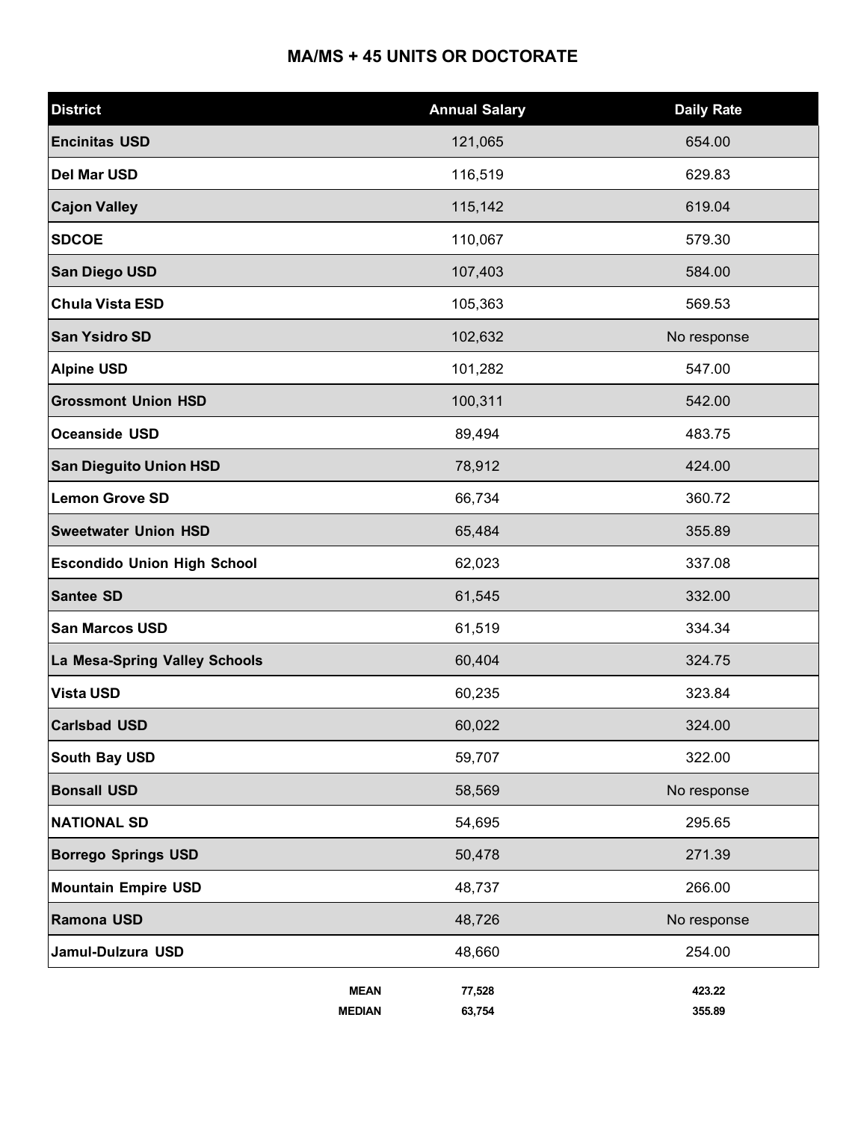## **MA/MS + 45 UNITS OR DOCTORATE**

| <b>District</b>                    |                              | <b>Annual Salary</b> | <b>Daily Rate</b> |
|------------------------------------|------------------------------|----------------------|-------------------|
| <b>Encinitas USD</b>               |                              | 121,065              | 654.00            |
| <b>Del Mar USD</b>                 |                              | 116,519              | 629.83            |
| <b>Cajon Valley</b>                |                              | 115,142              | 619.04            |
| <b>SDCOE</b>                       |                              | 110,067              | 579.30            |
| <b>San Diego USD</b>               |                              | 107,403              | 584.00            |
| <b>Chula Vista ESD</b>             |                              | 105,363              | 569.53            |
| <b>San Ysidro SD</b>               |                              | 102,632              | No response       |
| <b>Alpine USD</b>                  |                              | 101,282              | 547.00            |
| <b>Grossmont Union HSD</b>         |                              | 100,311              | 542.00            |
| <b>Oceanside USD</b>               |                              | 89,494               | 483.75            |
| <b>San Dieguito Union HSD</b>      |                              | 78,912               | 424.00            |
| <b>Lemon Grove SD</b>              |                              | 66,734               | 360.72            |
| <b>Sweetwater Union HSD</b>        |                              | 65,484               | 355.89            |
| <b>Escondido Union High School</b> |                              | 62,023               | 337.08            |
| <b>Santee SD</b>                   |                              | 61,545               | 332.00            |
| <b>San Marcos USD</b>              |                              | 61,519               | 334.34            |
| La Mesa-Spring Valley Schools      |                              | 60,404               | 324.75            |
| <b>Vista USD</b>                   |                              | 60,235               | 323.84            |
| <b>Carlsbad USD</b>                |                              | 60,022               | 324.00            |
| <b>South Bay USD</b>               |                              | 59,707               | 322.00            |
| <b>Bonsall USD</b>                 |                              | 58,569               | No response       |
| <b>NATIONAL SD</b>                 |                              | 54,695               | 295.65            |
| <b>Borrego Springs USD</b>         |                              | 50,478               | 271.39            |
| <b>Mountain Empire USD</b>         |                              | 48,737               | 266.00            |
| Ramona USD                         |                              | 48,726               | No response       |
| Jamul-Dulzura USD                  |                              | 48,660               | 254.00            |
|                                    | <b>MEAN</b><br><b>MEDIAN</b> | 77,528<br>63,754     | 423.22<br>355.89  |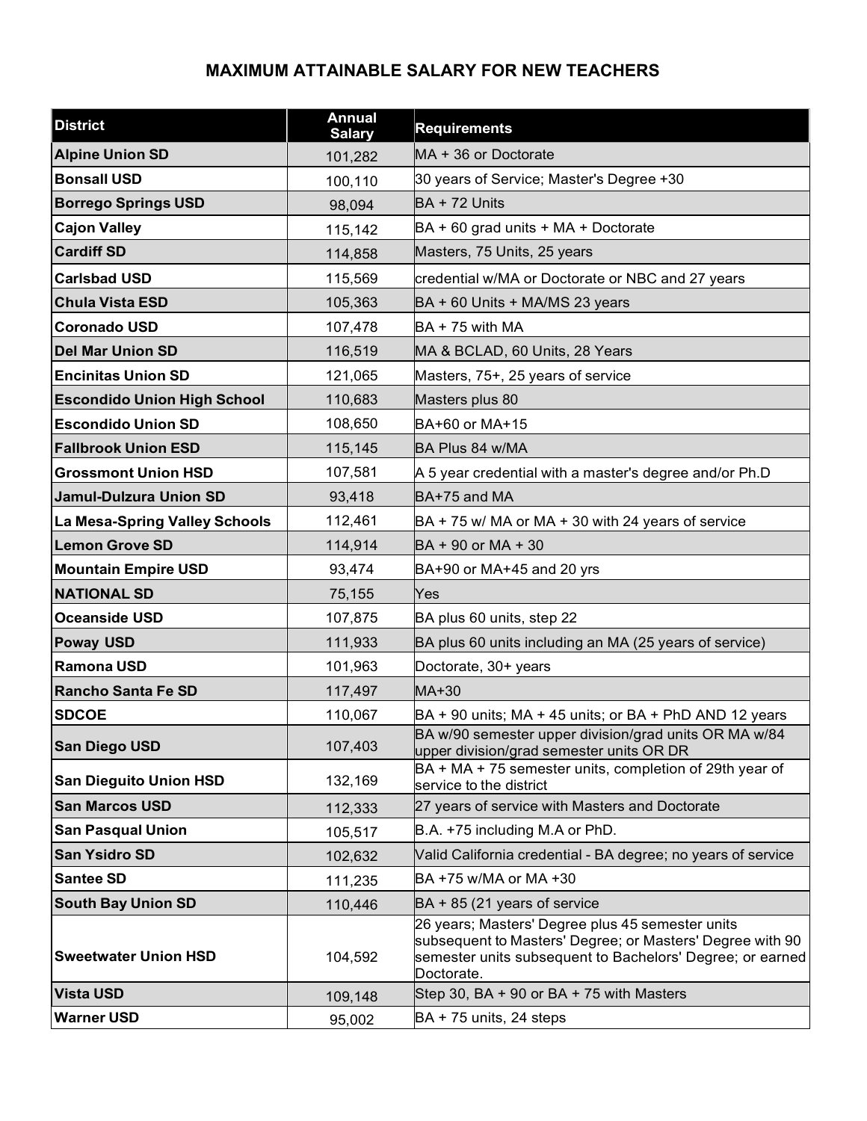### **MAXIMUM ATTAINABLE SALARY FOR NEW TEACHERS**

| <b>District</b>                    | <b>Annual</b><br><b>Salary</b> | <b>Requirements</b>                                                                                                                                                                      |
|------------------------------------|--------------------------------|------------------------------------------------------------------------------------------------------------------------------------------------------------------------------------------|
| <b>Alpine Union SD</b>             | 101,282                        | MA + 36 or Doctorate                                                                                                                                                                     |
| <b>Bonsall USD</b>                 | 100,110                        | 30 years of Service; Master's Degree +30                                                                                                                                                 |
| <b>Borrego Springs USD</b>         | 98,094                         | BA + 72 Units                                                                                                                                                                            |
| <b>Cajon Valley</b>                | 115,142                        | BA + 60 grad units + MA + Doctorate                                                                                                                                                      |
| <b>Cardiff SD</b>                  | 114,858                        | Masters, 75 Units, 25 years                                                                                                                                                              |
| <b>Carlsbad USD</b>                | 115,569                        | credential w/MA or Doctorate or NBC and 27 years                                                                                                                                         |
| <b>Chula Vista ESD</b>             | 105,363                        | BA + 60 Units + MA/MS 23 years                                                                                                                                                           |
| <b>Coronado USD</b>                | 107,478                        | $BA + 75$ with MA                                                                                                                                                                        |
| <b>Del Mar Union SD</b>            | 116,519                        | MA & BCLAD, 60 Units, 28 Years                                                                                                                                                           |
| <b>Encinitas Union SD</b>          | 121,065                        | Masters, 75+, 25 years of service                                                                                                                                                        |
| <b>Escondido Union High School</b> | 110,683                        | Masters plus 80                                                                                                                                                                          |
| <b>Escondido Union SD</b>          | 108,650                        | BA+60 or MA+15                                                                                                                                                                           |
| <b>Fallbrook Union ESD</b>         | 115,145                        | BA Plus 84 w/MA                                                                                                                                                                          |
| <b>Grossmont Union HSD</b>         | 107,581                        | A 5 year credential with a master's degree and/or Ph.D                                                                                                                                   |
| <b>Jamul-Dulzura Union SD</b>      | 93,418                         | BA+75 and MA                                                                                                                                                                             |
| La Mesa-Spring Valley Schools      | 112,461                        | $BA + 75$ w/ MA or MA + 30 with 24 years of service                                                                                                                                      |
| <b>Lemon Grove SD</b>              | 114,914                        | BA + 90 or MA + 30                                                                                                                                                                       |
| <b>Mountain Empire USD</b>         | 93,474                         | $BA+90$ or MA+45 and 20 yrs                                                                                                                                                              |
| <b>NATIONAL SD</b>                 | 75,155                         | Yes                                                                                                                                                                                      |
| <b>Oceanside USD</b>               | 107,875                        | BA plus 60 units, step 22                                                                                                                                                                |
| <b>Poway USD</b>                   | 111,933                        | BA plus 60 units including an MA (25 years of service)                                                                                                                                   |
| <b>Ramona USD</b>                  | 101,963                        | Doctorate, 30+ years                                                                                                                                                                     |
| <b>Rancho Santa Fe SD</b>          | 117,497                        | MA+30                                                                                                                                                                                    |
| <b>SDCOE</b>                       | 110,067                        | $BA + 90$ units; MA + 45 units; or BA + PhD AND 12 years                                                                                                                                 |
| <b>San Diego USD</b>               | 107,403                        | BA w/90 semester upper division/grad units OR MA w/84<br>upper division/grad semester units OR DR                                                                                        |
| <b>San Dieguito Union HSD</b>      | 132,169                        | BA + MA + 75 semester units, completion of 29th year of<br>service to the district                                                                                                       |
| <b>San Marcos USD</b>              | 112,333                        | 27 years of service with Masters and Doctorate                                                                                                                                           |
| <b>San Pasqual Union</b>           | 105,517                        | B.A. +75 including M.A or PhD.                                                                                                                                                           |
| <b>San Ysidro SD</b>               | 102,632                        | Valid California credential - BA degree; no years of service                                                                                                                             |
| <b>Santee SD</b>                   | 111,235                        | BA +75 w/MA or MA +30                                                                                                                                                                    |
| <b>South Bay Union SD</b>          | 110,446                        | $BA + 85$ (21 years of service                                                                                                                                                           |
| <b>Sweetwater Union HSD</b>        | 104,592                        | 26 years; Masters' Degree plus 45 semester units<br>subsequent to Masters' Degree; or Masters' Degree with 90<br>semester units subsequent to Bachelors' Degree; or earned<br>Doctorate. |
| <b>Vista USD</b>                   | 109,148                        | Step 30, BA + 90 or BA + 75 with Masters                                                                                                                                                 |
| <b>Warner USD</b>                  | 95,002                         | BA + 75 units, 24 steps                                                                                                                                                                  |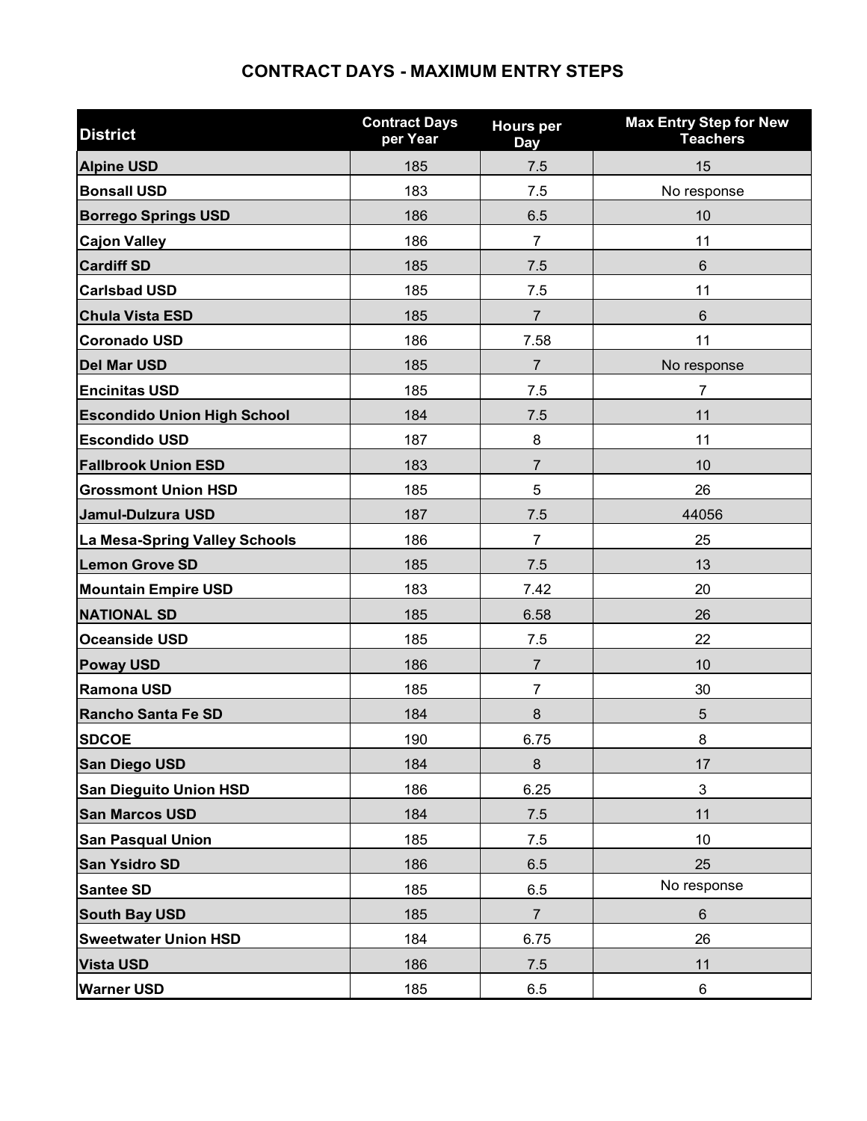### **CONTRACT DAYS - MAXIMUM ENTRY STEPS**

| <b>District</b>                    | <b>Contract Days</b><br>per Year | <b>Hours per</b><br><b>Day</b> | <b>Max Entry Step for New</b><br><b>Teachers</b> |
|------------------------------------|----------------------------------|--------------------------------|--------------------------------------------------|
| <b>Alpine USD</b>                  | 185                              | 7.5                            | 15                                               |
| <b>Bonsall USD</b>                 | 183                              | 7.5                            | No response                                      |
| <b>Borrego Springs USD</b>         | 186                              | 6.5                            | 10                                               |
| <b>Cajon Valley</b>                | 186                              | $\overline{7}$                 | 11                                               |
| <b>Cardiff SD</b>                  | 185                              | 7.5                            | $6\phantom{1}$                                   |
| <b>Carlsbad USD</b>                | 185                              | 7.5                            | 11                                               |
| <b>Chula Vista ESD</b>             | 185                              | $\overline{7}$                 | 6                                                |
| <b>Coronado USD</b>                | 186                              | 7.58                           | 11                                               |
| <b>Del Mar USD</b>                 | 185                              | 7                              | No response                                      |
| <b>Encinitas USD</b>               | 185                              | 7.5                            | $\overline{7}$                                   |
| <b>Escondido Union High School</b> | 184                              | 7.5                            | 11                                               |
| <b>Escondido USD</b>               | 187                              | 8                              | 11                                               |
| <b>Fallbrook Union ESD</b>         | 183                              | $\overline{7}$                 | 10                                               |
| <b>Grossmont Union HSD</b>         | 185                              | 5                              | 26                                               |
| Jamul-Dulzura USD                  | 187                              | 7.5                            | 44056                                            |
| La Mesa-Spring Valley Schools      | 186                              | $\overline{7}$                 | 25                                               |
| <b>Lemon Grove SD</b>              | 185                              | 7.5                            | 13                                               |
| <b>Mountain Empire USD</b>         | 183                              | 7.42                           | 20                                               |
| <b>NATIONAL SD</b>                 | 185                              | 6.58                           | 26                                               |
| <b>Oceanside USD</b>               | 185                              | 7.5                            | 22                                               |
| <b>Poway USD</b>                   | 186                              | $\overline{7}$                 | 10                                               |
| <b>Ramona USD</b>                  | 185                              | 7                              | 30                                               |
| Rancho Santa Fe SD                 | 184                              | $\bf 8$                        | 5                                                |
| <b>SDCOE</b>                       | 190                              | 6.75                           | 8                                                |
| San Diego USD                      | 184                              | 8                              | 17                                               |
| <b>San Dieguito Union HSD</b>      | 186                              | 6.25                           | $\mathsf 3$                                      |
| <b>San Marcos USD</b>              | 184                              | 7.5                            | 11                                               |
| <b>San Pasqual Union</b>           | 185                              | 7.5                            | 10                                               |
| <b>San Ysidro SD</b>               | 186                              | 6.5                            | 25                                               |
| <b>Santee SD</b>                   | 185                              | 6.5                            | No response                                      |
| <b>South Bay USD</b>               | 185                              | $\overline{7}$                 | 6                                                |
| <b>Sweetwater Union HSD</b>        | 184                              | 6.75                           | 26                                               |
| <b>Vista USD</b>                   | 186                              | 7.5                            | 11                                               |
| <b>Warner USD</b>                  | 185                              | 6.5                            | $\,6\,$                                          |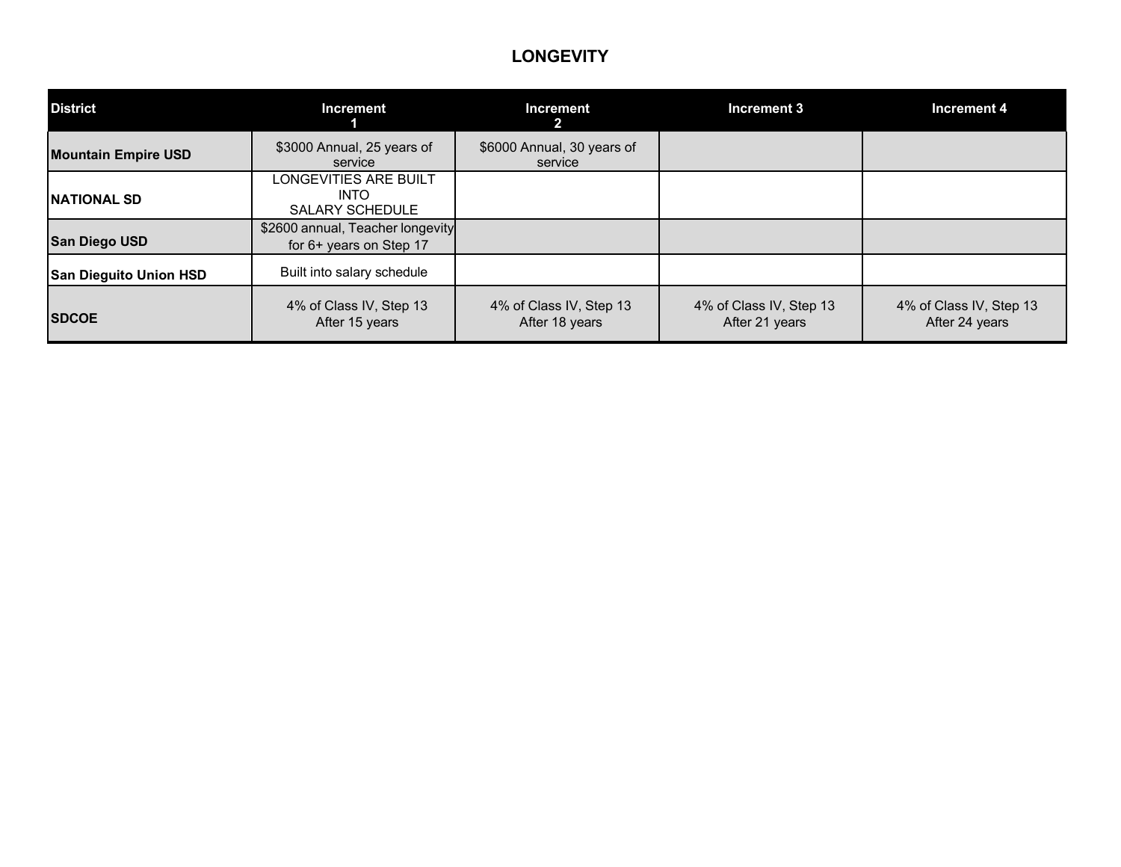#### **LONGEVITY**

| <b>District</b>               | <b>Increment</b>                                               | <b>Increment</b>                          | Increment 3                               | Increment 4                               |
|-------------------------------|----------------------------------------------------------------|-------------------------------------------|-------------------------------------------|-------------------------------------------|
| <b>Mountain Empire USD</b>    | \$3000 Annual, 25 years of<br>service                          | \$6000 Annual, 30 years of<br>service     |                                           |                                           |
| <b>NATIONAL SD</b>            | LONGEVITIES ARE BUILT<br><b>INTO</b><br><b>SALARY SCHEDULE</b> |                                           |                                           |                                           |
| <b>San Diego USD</b>          | \$2600 annual, Teacher longevity<br>for 6+ years on Step 17    |                                           |                                           |                                           |
| <b>San Dieguito Union HSD</b> | Built into salary schedule                                     |                                           |                                           |                                           |
| <b>SDCOE</b>                  | 4% of Class IV, Step 13<br>After 15 years                      | 4% of Class IV, Step 13<br>After 18 years | 4% of Class IV, Step 13<br>After 21 years | 4% of Class IV, Step 13<br>After 24 years |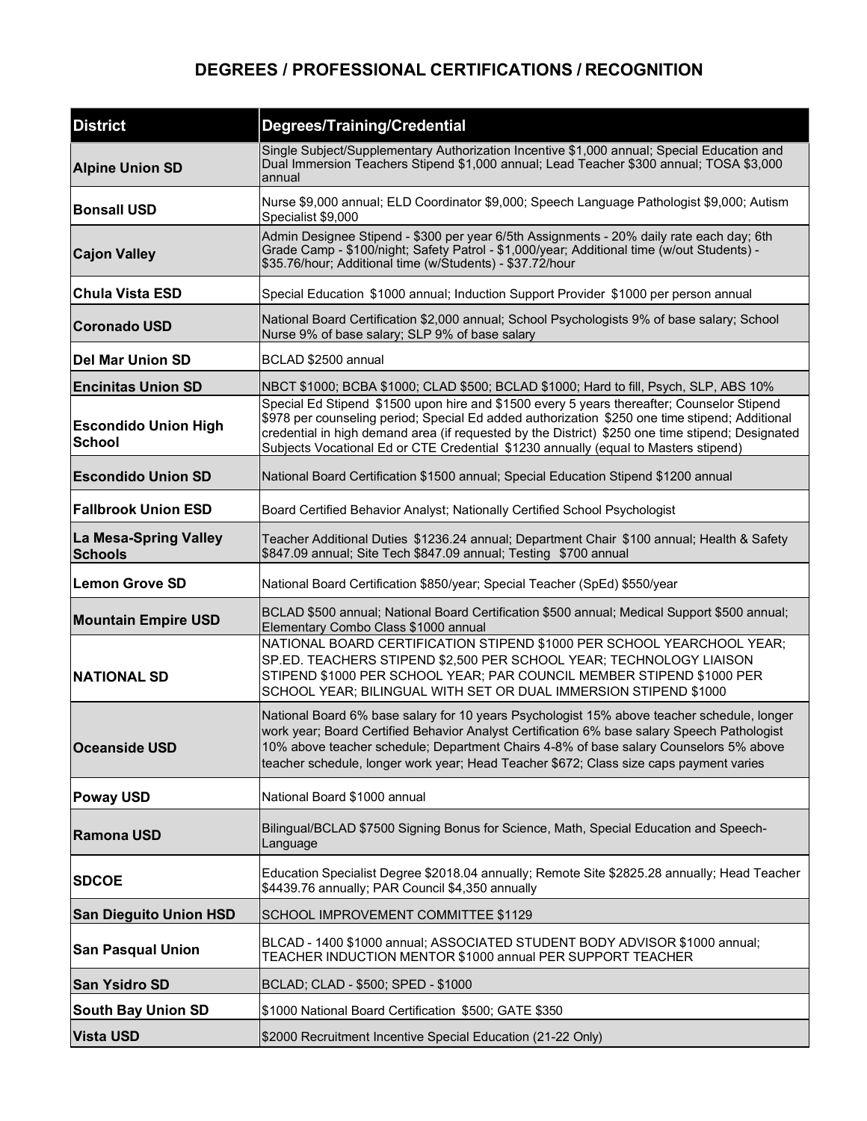## **DEGREES / PROFESSIONAL CERTIFICATIONS / RECOGNITION**

| <b>District</b>                              | <b>Degrees/Training/Credential</b>                                                                                                                                                                                                                                                                                                                                                      |
|----------------------------------------------|-----------------------------------------------------------------------------------------------------------------------------------------------------------------------------------------------------------------------------------------------------------------------------------------------------------------------------------------------------------------------------------------|
| <b>Alpine Union SD</b>                       | Single Subject/Supplementary Authorization Incentive \$1,000 annual; Special Education and<br>Dual Immersion Teachers Stipend \$1,000 annual; Lead Teacher \$300 annual; TOSA \$3,000<br>annual                                                                                                                                                                                         |
| <b>Bonsall USD</b>                           | Nurse \$9,000 annual; ELD Coordinator \$9,000; Speech Language Pathologist \$9,000; Autism<br>Specialist \$9,000                                                                                                                                                                                                                                                                        |
| <b>Cajon Valley</b>                          | Admin Designee Stipend - \$300 per year 6/5th Assignments - 20% daily rate each day; 6th<br>Grade Camp - \$100/night; Safety Patrol - \$1,000/year; Additional time (w/out Students) -<br>\$35.76/hour; Additional time (w/Students) - \$37.72/hour                                                                                                                                     |
| <b>Chula Vista ESD</b>                       | Special Education \$1000 annual; Induction Support Provider \$1000 per person annual                                                                                                                                                                                                                                                                                                    |
| <b>Coronado USD</b>                          | National Board Certification \$2,000 annual; School Psychologists 9% of base salary; School<br>Nurse 9% of base salary; SLP 9% of base salary                                                                                                                                                                                                                                           |
| <b>Del Mar Union SD</b>                      | BCLAD \$2500 annual                                                                                                                                                                                                                                                                                                                                                                     |
| <b>Encinitas Union SD</b>                    | NBCT \$1000; BCBA \$1000; CLAD \$500; BCLAD \$1000; Hard to fill, Psych, SLP, ABS 10%                                                                                                                                                                                                                                                                                                   |
| <b>Escondido Union High</b><br><b>School</b> | Special Ed Stipend \$1500 upon hire and \$1500 every 5 years thereafter; Counselor Stipend<br>\$978 per counseling period; Special Ed added authorization \$250 one time stipend; Additional<br>credential in high demand area (if requested by the District) \$250 one time stipend; Designated<br>Subjects Vocational Ed or CTE Credential \$1230 annually (equal to Masters stipend) |
| <b>Escondido Union SD</b>                    | National Board Certification \$1500 annual; Special Education Stipend \$1200 annual                                                                                                                                                                                                                                                                                                     |
| <b>Fallbrook Union ESD</b>                   | Board Certified Behavior Analyst; Nationally Certified School Psychologist                                                                                                                                                                                                                                                                                                              |
| La Mesa-Spring Valley<br><b>Schools</b>      | Teacher Additional Duties \$1236.24 annual; Department Chair \$100 annual; Health & Safety<br>\$847.09 annual; Site Tech \$847.09 annual; Testing \$700 annual                                                                                                                                                                                                                          |
| <b>Lemon Grove SD</b>                        | National Board Certification \$850/year; Special Teacher (SpEd) \$550/year                                                                                                                                                                                                                                                                                                              |
| <b>Mountain Empire USD</b>                   | BCLAD \$500 annual; National Board Certification \$500 annual; Medical Support \$500 annual;<br>Elementary Combo Class \$1000 annual                                                                                                                                                                                                                                                    |
| <b>NATIONAL SD</b>                           | NATIONAL BOARD CERTIFICATION STIPEND \$1000 PER SCHOOL YEARCHOOL YEAR;<br>SP.ED. TEACHERS STIPEND \$2,500 PER SCHOOL YEAR; TECHNOLOGY LIAISON<br>STIPEND \$1000 PER SCHOOL YEAR; PAR COUNCIL MEMBER STIPEND \$1000 PER<br>SCHOOL YEAR; BILINGUAL WITH SET OR DUAL IMMERSION STIPEND \$1000                                                                                              |
| <b>Oceanside USD</b>                         | National Board 6% base salary for 10 years Psychologist 15% above teacher schedule, longer<br>work year; Board Certified Behavior Analyst Certification 6% base salary Speech Pathologist<br>10% above teacher schedule; Department Chairs 4-8% of base salary Counselors 5% above<br>teacher schedule, longer work year; Head Teacher \$672; Class size caps payment varies            |
| <b>Poway USD</b>                             | National Board \$1000 annual                                                                                                                                                                                                                                                                                                                                                            |
| <b>Ramona USD</b>                            | Bilingual/BCLAD \$7500 Signing Bonus for Science, Math, Special Education and Speech-<br>Language                                                                                                                                                                                                                                                                                       |
| <b>SDCOE</b>                                 | Education Specialist Degree \$2018.04 annually; Remote Site \$2825.28 annually; Head Teacher<br>\$4439.76 annually; PAR Council \$4,350 annually                                                                                                                                                                                                                                        |
| <b>San Dieguito Union HSD</b>                | SCHOOL IMPROVEMENT COMMITTEE \$1129                                                                                                                                                                                                                                                                                                                                                     |
| <b>San Pasqual Union</b>                     | BLCAD - 1400 \$1000 annual; ASSOCIATED STUDENT BODY ADVISOR \$1000 annual;<br>TEACHER INDUCTION MENTOR \$1000 annual PER SUPPORT TEACHER                                                                                                                                                                                                                                                |
| San Ysidro SD                                | BCLAD; CLAD - \$500; SPED - \$1000                                                                                                                                                                                                                                                                                                                                                      |
| <b>South Bay Union SD</b>                    | \$1000 National Board Certification \$500; GATE \$350                                                                                                                                                                                                                                                                                                                                   |
| <b>Vista USD</b>                             | \$2000 Recruitment Incentive Special Education (21-22 Only)                                                                                                                                                                                                                                                                                                                             |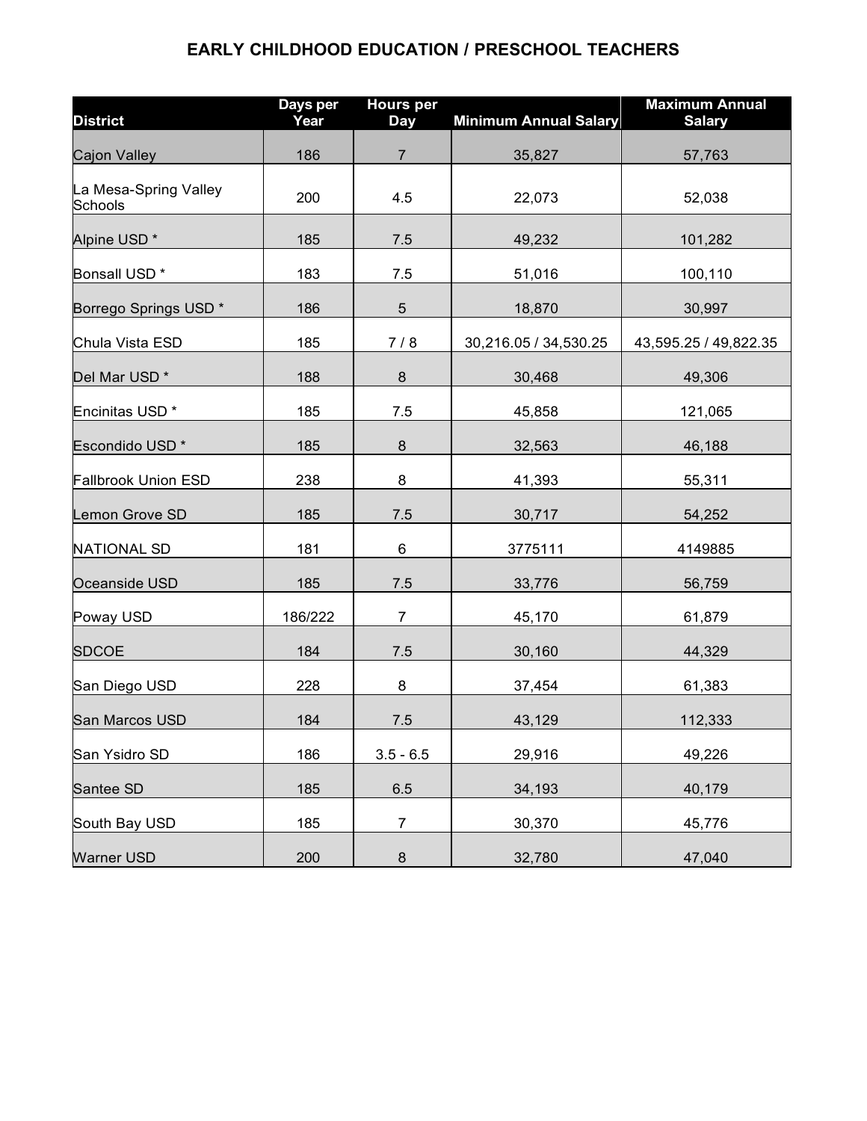## **EARLY CHILDHOOD EDUCATION / PRESCHOOL TEACHERS**

| <b>District</b>                  | Days per<br>Year | <b>Hours per</b><br>Day | <b>Minimum Annual Salary</b> | <b>Maximum Annual</b><br><b>Salary</b> |
|----------------------------------|------------------|-------------------------|------------------------------|----------------------------------------|
| <b>Cajon Valley</b>              | 186              | $\overline{7}$          | 35,827                       | 57,763                                 |
| La Mesa-Spring Valley<br>Schools | 200              | 4.5                     | 22,073                       | 52,038                                 |
| Alpine USD <sup>*</sup>          | 185              | 7.5                     | 49,232                       | 101,282                                |
| Bonsall USD <sup>*</sup>         | 183              | 7.5                     | 51,016                       | 100,110                                |
| Borrego Springs USD <sup>*</sup> | 186              | $\sqrt{5}$              | 18,870                       | 30,997                                 |
| Chula Vista ESD                  | 185              | 7/8                     | 30,216.05 / 34,530.25        | 43,595.25 / 49,822.35                  |
| Del Mar USD <sup>*</sup>         | 188              | $\bf 8$                 | 30,468                       | 49,306                                 |
| Encinitas USD <sup>*</sup>       | 185              | 7.5                     | 45,858                       | 121,065                                |
| Escondido USD <sup>*</sup>       | 185              | $\bf 8$                 | 32,563                       | 46,188                                 |
| <b>Fallbrook Union ESD</b>       | 238              | 8                       | 41,393                       | 55,311                                 |
| Lemon Grove SD                   | 185              | 7.5                     | 30,717                       | 54,252                                 |
| <b>NATIONAL SD</b>               | 181              | 6                       | 3775111                      | 4149885                                |
| Oceanside USD                    | 185              | 7.5                     | 33,776                       | 56,759                                 |
| Poway USD                        | 186/222          | $\overline{7}$          | 45,170                       | 61,879                                 |
| <b>SDCOE</b>                     | 184              | 7.5                     | 30,160                       | 44,329                                 |
| San Diego USD                    | 228              | 8                       | 37,454                       | 61,383                                 |
| <b>San Marcos USD</b>            | 184              | 7.5                     | 43,129                       | 112,333                                |
| San Ysidro SD                    | 186              | $3.5 - 6.5$             | 29,916                       | 49,226                                 |
| Santee SD                        | 185              | 6.5                     | 34,193                       | 40,179                                 |
| South Bay USD                    | 185              | $\overline{7}$          | 30,370                       | 45,776                                 |
| <b>Warner USD</b>                | 200              | 8                       | 32,780                       | 47,040                                 |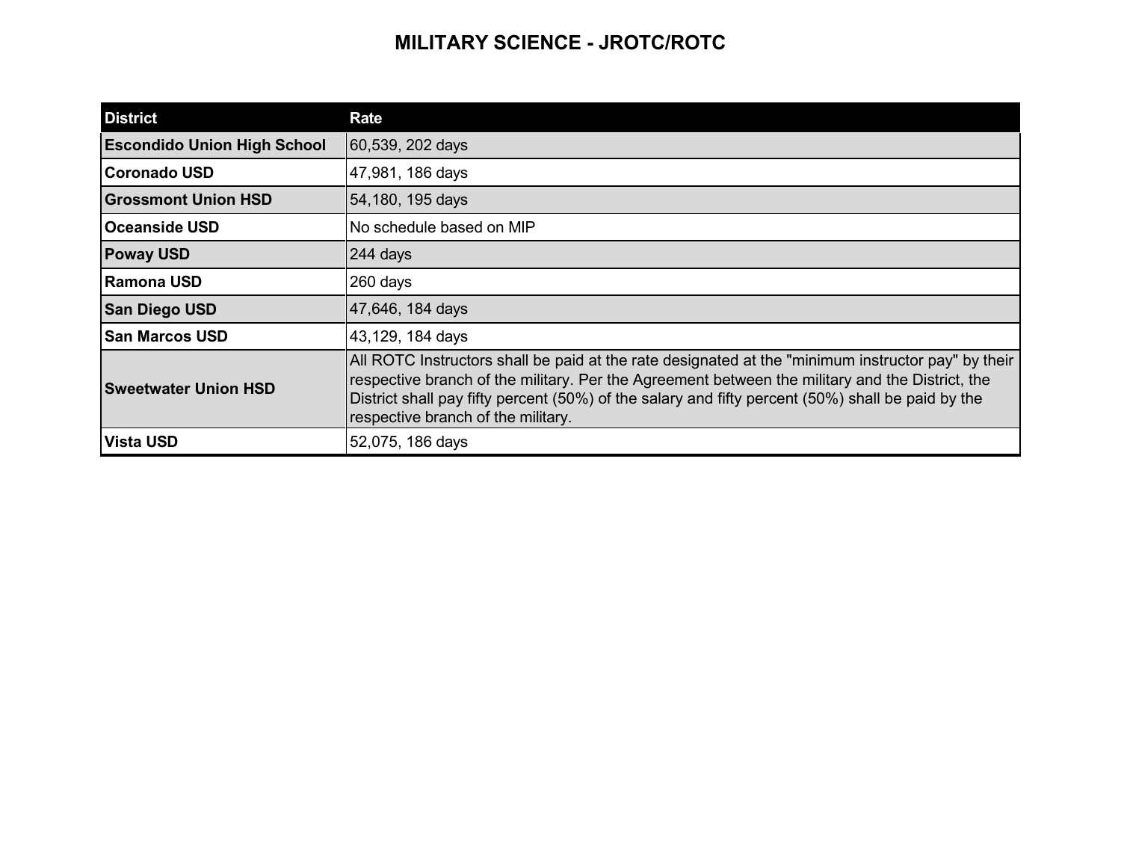## **MILITARY SCIENCE - JROTC/ROTC**

| <b>District</b>                    | <b>Rate</b>                                                                                                                                                                                                                                                                                                                                      |
|------------------------------------|--------------------------------------------------------------------------------------------------------------------------------------------------------------------------------------------------------------------------------------------------------------------------------------------------------------------------------------------------|
| <b>Escondido Union High School</b> | 60,539, 202 days                                                                                                                                                                                                                                                                                                                                 |
| Coronado USD                       | 47,981, 186 days                                                                                                                                                                                                                                                                                                                                 |
| <b>Grossmont Union HSD</b>         | 54,180, 195 days                                                                                                                                                                                                                                                                                                                                 |
| <b>Oceanside USD</b>               | No schedule based on MIP                                                                                                                                                                                                                                                                                                                         |
| <b>Poway USD</b>                   | 244 days                                                                                                                                                                                                                                                                                                                                         |
| lRamona USD                        | 260 days                                                                                                                                                                                                                                                                                                                                         |
| <b>San Diego USD</b>               | 47,646, 184 days                                                                                                                                                                                                                                                                                                                                 |
| <b>San Marcos USD</b>              | 43,129, 184 days                                                                                                                                                                                                                                                                                                                                 |
| <b>Sweetwater Union HSD</b>        | All ROTC Instructors shall be paid at the rate designated at the "minimum instructor pay" by their<br>respective branch of the military. Per the Agreement between the military and the District, the<br>District shall pay fifty percent (50%) of the salary and fifty percent (50%) shall be paid by the<br>respective branch of the military. |
| <b>Vista USD</b>                   | 52,075, 186 days                                                                                                                                                                                                                                                                                                                                 |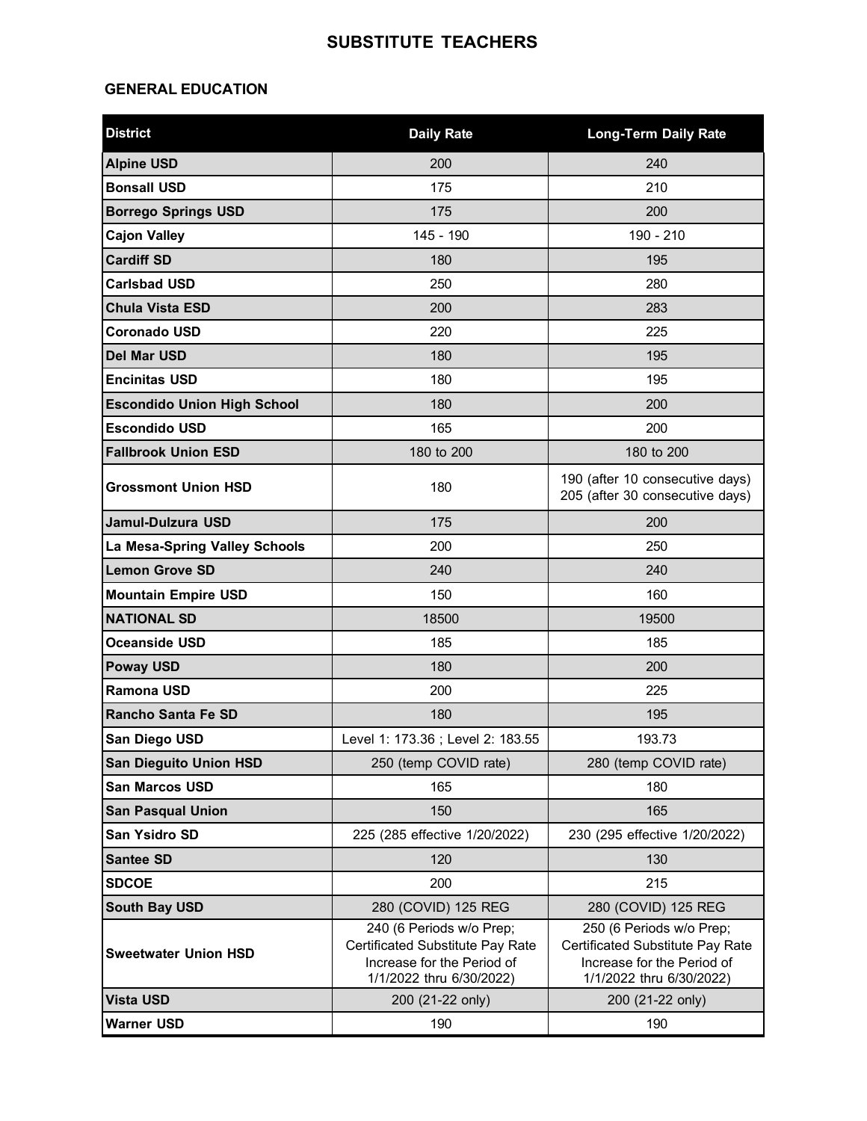#### **SUBSTITUTE TEACHERS**

#### **GENERAL EDUCATION**

| <b>District</b>                    | <b>Daily Rate</b>                                                                                                      | <b>Long-Term Daily Rate</b>                                                                                            |  |
|------------------------------------|------------------------------------------------------------------------------------------------------------------------|------------------------------------------------------------------------------------------------------------------------|--|
| <b>Alpine USD</b>                  | 200                                                                                                                    | 240                                                                                                                    |  |
| <b>Bonsall USD</b>                 | 175                                                                                                                    | 210                                                                                                                    |  |
| <b>Borrego Springs USD</b>         | 175                                                                                                                    | 200                                                                                                                    |  |
| <b>Cajon Valley</b>                | 145 - 190                                                                                                              | 190 - 210                                                                                                              |  |
| <b>Cardiff SD</b>                  | 180                                                                                                                    | 195                                                                                                                    |  |
| <b>Carlsbad USD</b>                | 250                                                                                                                    | 280                                                                                                                    |  |
| <b>Chula Vista ESD</b>             | 200                                                                                                                    | 283                                                                                                                    |  |
| <b>Coronado USD</b>                | 220                                                                                                                    | 225                                                                                                                    |  |
| <b>Del Mar USD</b>                 | 180                                                                                                                    | 195                                                                                                                    |  |
| <b>Encinitas USD</b>               | 180                                                                                                                    | 195                                                                                                                    |  |
| <b>Escondido Union High School</b> | 180                                                                                                                    | 200                                                                                                                    |  |
| <b>Escondido USD</b>               | 165                                                                                                                    | 200                                                                                                                    |  |
| <b>Fallbrook Union ESD</b>         | 180 to 200                                                                                                             | 180 to 200                                                                                                             |  |
| <b>Grossmont Union HSD</b>         | 180                                                                                                                    | 190 (after 10 consecutive days)<br>205 (after 30 consecutive days)                                                     |  |
| Jamul-Dulzura USD                  | 175                                                                                                                    | 200                                                                                                                    |  |
| La Mesa-Spring Valley Schools      | 200                                                                                                                    | 250                                                                                                                    |  |
| <b>Lemon Grove SD</b>              | 240                                                                                                                    | 240                                                                                                                    |  |
| <b>Mountain Empire USD</b>         | 150                                                                                                                    | 160                                                                                                                    |  |
| <b>NATIONAL SD</b>                 | 18500                                                                                                                  | 19500                                                                                                                  |  |
| <b>Oceanside USD</b>               | 185                                                                                                                    | 185                                                                                                                    |  |
| <b>Poway USD</b>                   | 180                                                                                                                    | 200                                                                                                                    |  |
| <b>Ramona USD</b>                  | 200                                                                                                                    | 225                                                                                                                    |  |
| <b>Rancho Santa Fe SD</b>          | 180                                                                                                                    | 195                                                                                                                    |  |
| San Diego USD                      | Level 1: 173.36 ; Level 2: 183.55                                                                                      | 193.73                                                                                                                 |  |
| <b>San Dieguito Union HSD</b>      | 250 (temp COVID rate)                                                                                                  | 280 (temp COVID rate)                                                                                                  |  |
| San Marcos USD                     | 165                                                                                                                    | 180                                                                                                                    |  |
| <b>San Pasqual Union</b>           | 150                                                                                                                    | 165                                                                                                                    |  |
| San Ysidro SD                      | 225 (285 effective 1/20/2022)                                                                                          | 230 (295 effective 1/20/2022)                                                                                          |  |
| <b>Santee SD</b>                   | 120<br>130                                                                                                             |                                                                                                                        |  |
| <b>SDCOE</b>                       | 200<br>215                                                                                                             |                                                                                                                        |  |
| South Bay USD                      | 280 (COVID) 125 REG                                                                                                    | 280 (COVID) 125 REG                                                                                                    |  |
| <b>Sweetwater Union HSD</b>        | 240 (6 Periods w/o Prep;<br>Certificated Substitute Pay Rate<br>Increase for the Period of<br>1/1/2022 thru 6/30/2022) | 250 (6 Periods w/o Prep;<br>Certificated Substitute Pay Rate<br>Increase for the Period of<br>1/1/2022 thru 6/30/2022) |  |
| <b>Vista USD</b>                   | 200 (21-22 only)                                                                                                       | 200 (21-22 only)                                                                                                       |  |
| <b>Warner USD</b>                  | 190                                                                                                                    | 190                                                                                                                    |  |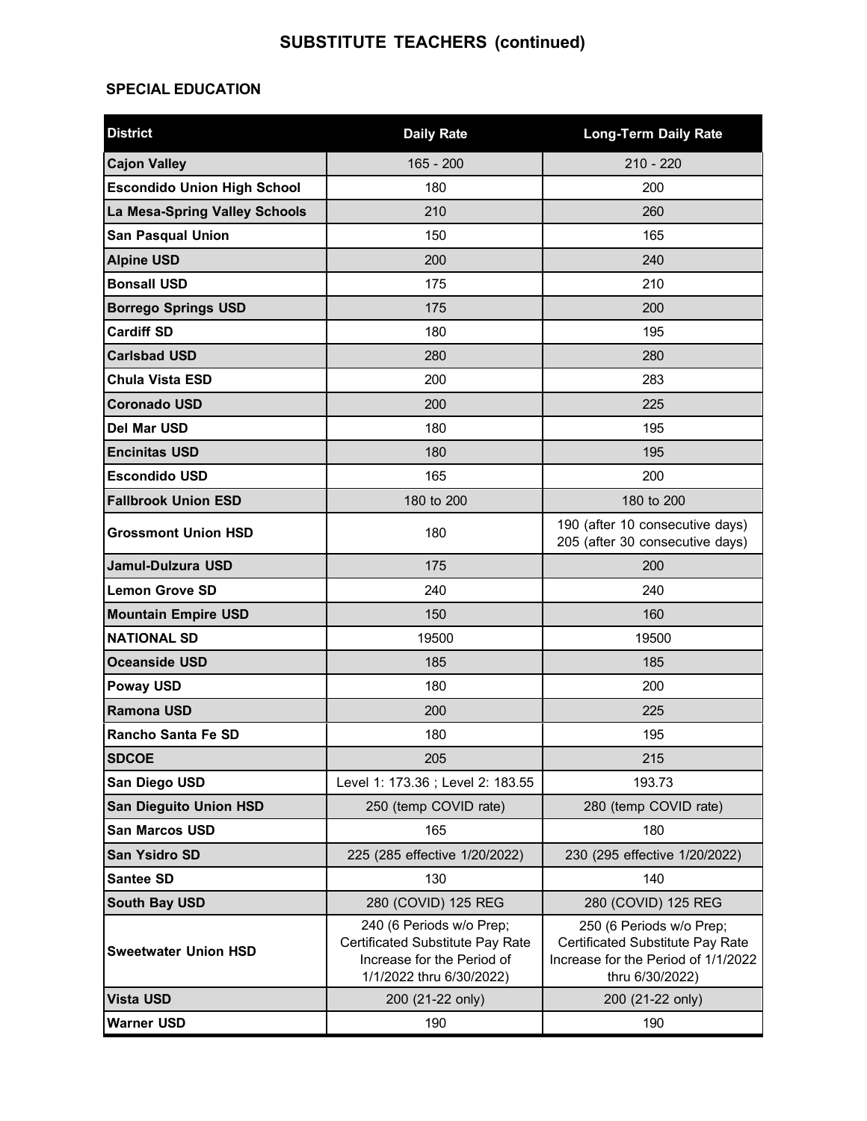# **SUBSTITUTE TEACHERS (continued)**

#### **SPECIAL EDUCATION**

| <b>District</b>                    | <b>Daily Rate</b>                                                                                                      | <b>Long-Term Daily Rate</b>                                                                                            |  |  |
|------------------------------------|------------------------------------------------------------------------------------------------------------------------|------------------------------------------------------------------------------------------------------------------------|--|--|
| <b>Cajon Valley</b>                | $165 - 200$                                                                                                            | $210 - 220$                                                                                                            |  |  |
| <b>Escondido Union High School</b> | 180                                                                                                                    | 200                                                                                                                    |  |  |
| La Mesa-Spring Valley Schools      | 210                                                                                                                    | 260                                                                                                                    |  |  |
| <b>San Pasqual Union</b>           | 150                                                                                                                    | 165                                                                                                                    |  |  |
| <b>Alpine USD</b>                  | 200                                                                                                                    | 240                                                                                                                    |  |  |
| <b>Bonsall USD</b>                 | 175                                                                                                                    | 210                                                                                                                    |  |  |
| <b>Borrego Springs USD</b>         | 175                                                                                                                    | 200                                                                                                                    |  |  |
| <b>Cardiff SD</b>                  | 180                                                                                                                    | 195                                                                                                                    |  |  |
| <b>Carlsbad USD</b>                | 280                                                                                                                    | 280                                                                                                                    |  |  |
| <b>Chula Vista ESD</b>             | 200                                                                                                                    | 283                                                                                                                    |  |  |
| <b>Coronado USD</b>                | 200                                                                                                                    | 225                                                                                                                    |  |  |
| <b>Del Mar USD</b>                 | 180                                                                                                                    | 195                                                                                                                    |  |  |
| <b>Encinitas USD</b>               | 180                                                                                                                    | 195                                                                                                                    |  |  |
| <b>Escondido USD</b>               | 165                                                                                                                    | 200                                                                                                                    |  |  |
| <b>Fallbrook Union ESD</b>         | 180 to 200                                                                                                             | 180 to 200                                                                                                             |  |  |
| <b>Grossmont Union HSD</b>         | 180                                                                                                                    | 190 (after 10 consecutive days)<br>205 (after 30 consecutive days)                                                     |  |  |
| Jamul-Dulzura USD                  | 175                                                                                                                    | 200                                                                                                                    |  |  |
| <b>Lemon Grove SD</b>              | 240                                                                                                                    | 240                                                                                                                    |  |  |
| <b>Mountain Empire USD</b>         | 150                                                                                                                    | 160                                                                                                                    |  |  |
| <b>NATIONAL SD</b>                 | 19500                                                                                                                  | 19500                                                                                                                  |  |  |
| <b>Oceanside USD</b>               | 185                                                                                                                    | 185                                                                                                                    |  |  |
| <b>Poway USD</b>                   | 180                                                                                                                    | 200                                                                                                                    |  |  |
| <b>Ramona USD</b>                  | 200                                                                                                                    | 225                                                                                                                    |  |  |
| <b>Rancho Santa Fe SD</b>          | 180                                                                                                                    | 195                                                                                                                    |  |  |
| <b>SDCOE</b>                       | 205                                                                                                                    | 215                                                                                                                    |  |  |
| San Diego USD                      | Level 1: 173.36 ; Level 2: 183.55                                                                                      | 193.73                                                                                                                 |  |  |
| <b>San Dieguito Union HSD</b>      | 250 (temp COVID rate)                                                                                                  | 280 (temp COVID rate)                                                                                                  |  |  |
| San Marcos USD                     | 165                                                                                                                    | 180                                                                                                                    |  |  |
| San Ysidro SD                      | 225 (285 effective 1/20/2022)                                                                                          | 230 (295 effective 1/20/2022)                                                                                          |  |  |
| <b>Santee SD</b>                   | 130<br>140                                                                                                             |                                                                                                                        |  |  |
| <b>South Bay USD</b>               | 280 (COVID) 125 REG                                                                                                    | 280 (COVID) 125 REG                                                                                                    |  |  |
| <b>Sweetwater Union HSD</b>        | 240 (6 Periods w/o Prep;<br>Certificated Substitute Pay Rate<br>Increase for the Period of<br>1/1/2022 thru 6/30/2022) | 250 (6 Periods w/o Prep;<br>Certificated Substitute Pay Rate<br>Increase for the Period of 1/1/2022<br>thru 6/30/2022) |  |  |
| <b>Vista USD</b>                   | 200 (21-22 only)                                                                                                       | 200 (21-22 only)                                                                                                       |  |  |
| <b>Warner USD</b>                  | 190                                                                                                                    | 190                                                                                                                    |  |  |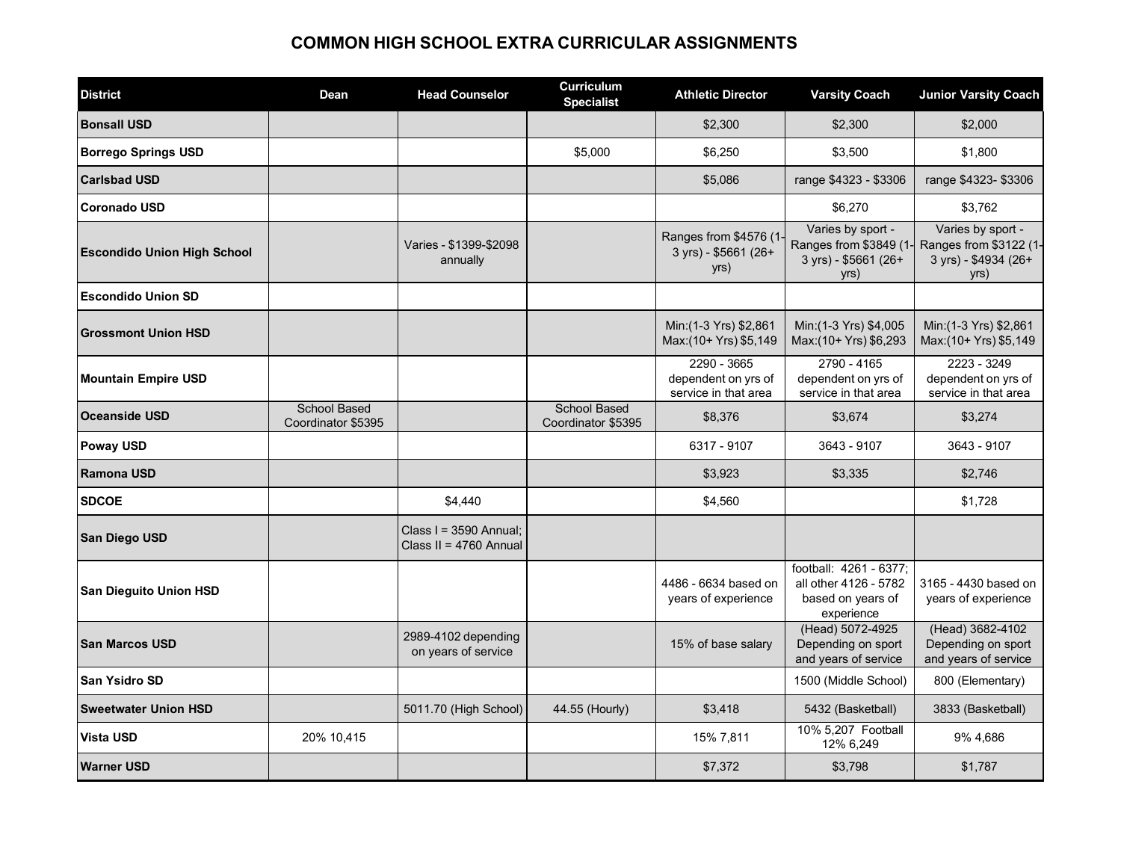#### **COMMON HIGH SCHOOL EXTRA CURRICULAR ASSIGNMENTS**

| <b>District</b>                    | Dean                                      | <b>Head Counselor</b>                              | <b>Curriculum</b><br><b>Specialist</b>    | <b>Athletic Director</b>                                   | <b>Varsity Coach</b>                                                               | <b>Junior Varsity Coach</b>                                                 |
|------------------------------------|-------------------------------------------|----------------------------------------------------|-------------------------------------------|------------------------------------------------------------|------------------------------------------------------------------------------------|-----------------------------------------------------------------------------|
| <b>Bonsall USD</b>                 |                                           |                                                    |                                           | \$2,300                                                    | \$2,300                                                                            | \$2.000                                                                     |
| <b>Borrego Springs USD</b>         |                                           |                                                    | \$5,000                                   | \$6,250                                                    | \$3,500                                                                            | \$1,800                                                                     |
| <b>Carlsbad USD</b>                |                                           |                                                    |                                           | \$5,086                                                    | range \$4323 - \$3306                                                              | range \$4323-\$3306                                                         |
| <b>Coronado USD</b>                |                                           |                                                    |                                           |                                                            | \$6,270                                                                            | \$3,762                                                                     |
| <b>Escondido Union High School</b> |                                           | Varies - \$1399-\$2098<br>annually                 |                                           | Ranges from \$4576 (1-<br>3 yrs) - \$5661 (26+<br>yrs)     | Varies by sport -<br>Ranges from \$3849 (1-<br>3 yrs) - \$5661 (26+<br>yrs)        | Varies by sport -<br>Ranges from \$3122 (1-<br>3 yrs) - \$4934 (26+<br>yrs) |
| <b>Escondido Union SD</b>          |                                           |                                                    |                                           |                                                            |                                                                                    |                                                                             |
| <b>Grossmont Union HSD</b>         |                                           |                                                    |                                           | Min:(1-3 Yrs) \$2,861<br>Max:(10+ Yrs) \$5,149             | Min: (1-3 Yrs) \$4,005<br>Max:(10+ Yrs) \$6,293                                    | Min:(1-3 Yrs) \$2,861<br>Max: (10+ Yrs) \$5,149                             |
| <b>Mountain Empire USD</b>         |                                           |                                                    |                                           | 2290 - 3665<br>dependent on yrs of<br>service in that area | 2790 - 4165<br>dependent on yrs of<br>service in that area                         | 2223 - 3249<br>dependent on yrs of<br>service in that area                  |
| <b>Oceanside USD</b>               | <b>School Based</b><br>Coordinator \$5395 |                                                    | <b>School Based</b><br>Coordinator \$5395 | \$8,376                                                    | \$3,674                                                                            | \$3,274                                                                     |
| <b>Poway USD</b>                   |                                           |                                                    |                                           | 6317 - 9107                                                | 3643 - 9107                                                                        | 3643 - 9107                                                                 |
| Ramona USD                         |                                           |                                                    |                                           | \$3,923                                                    | \$3,335                                                                            | \$2,746                                                                     |
| <b>SDCOE</b>                       |                                           | \$4,440                                            |                                           | \$4,560                                                    |                                                                                    | \$1,728                                                                     |
| <b>San Diego USD</b>               |                                           | Class $I = 3590$ Annual:<br>Class II = 4760 Annual |                                           |                                                            |                                                                                    |                                                                             |
| San Dieguito Union HSD             |                                           |                                                    |                                           | 4486 - 6634 based on<br>years of experience                | football: 4261 - 6377;<br>all other 4126 - 5782<br>based on years of<br>experience | 3165 - 4430 based on<br>years of experience                                 |
| <b>San Marcos USD</b>              |                                           | 2989-4102 depending<br>on years of service         |                                           | 15% of base salary                                         | (Head) 5072-4925<br>Depending on sport<br>and years of service                     | (Head) 3682-4102<br>Depending on sport<br>and years of service              |
| <b>San Ysidro SD</b>               |                                           |                                                    |                                           |                                                            | 1500 (Middle School)                                                               | 800 (Elementary)                                                            |
| <b>Sweetwater Union HSD</b>        |                                           | 5011.70 (High School)                              | 44.55 (Hourly)                            | \$3,418                                                    | 5432 (Basketball)                                                                  | 3833 (Basketball)                                                           |
| <b>Vista USD</b>                   | 20% 10,415                                |                                                    |                                           | 15% 7,811                                                  | 10% 5,207 Football<br>12% 6,249                                                    | 9% 4,686                                                                    |
| <b>Warner USD</b>                  |                                           |                                                    |                                           | \$7,372                                                    | \$3,798                                                                            | \$1,787                                                                     |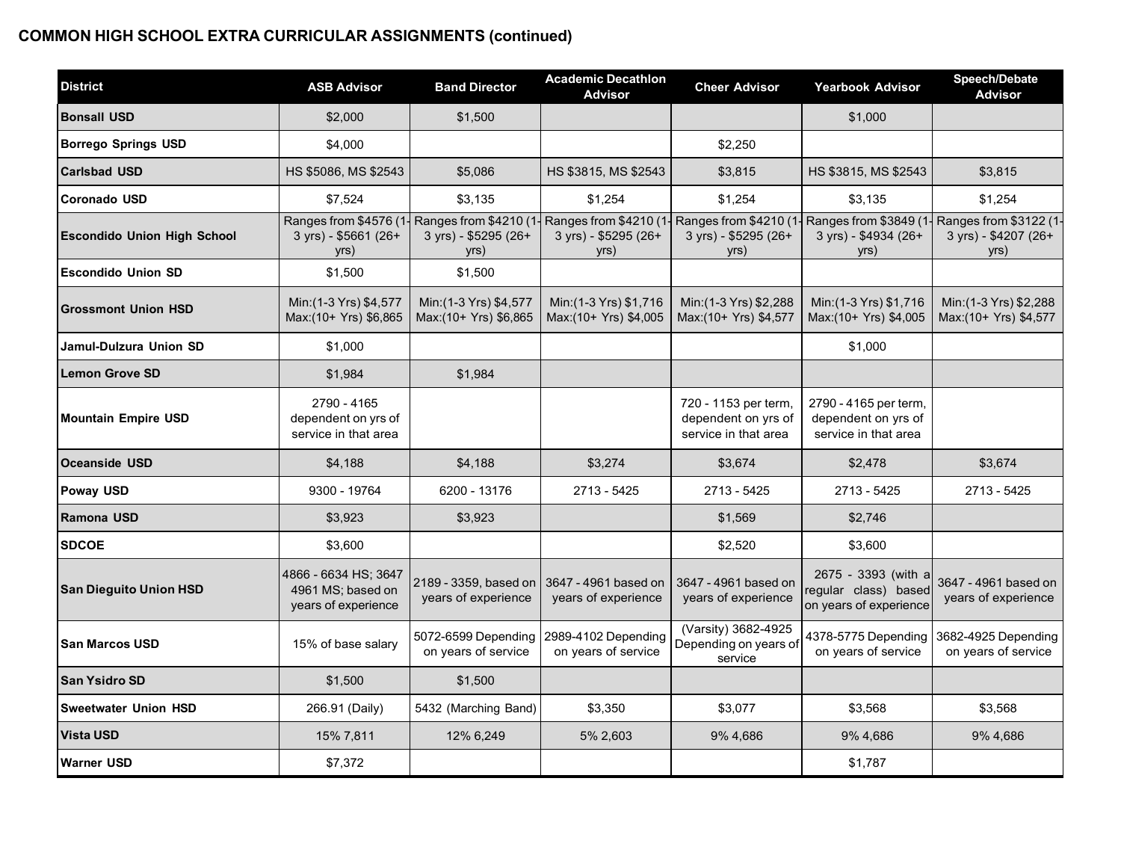## **COMMON HIGH SCHOOL EXTRA CURRICULAR ASSIGNMENTS (continued)**

| <b>District</b>                    | <b>ASB Advisor</b>                                               | <b>Band Director</b>                                   | <b>Academic Decathlon</b><br><b>Advisor</b>           | <b>Cheer Advisor</b>                                                | <b>Yearbook Advisor</b>                                               | Speech/Debate<br><b>Advisor</b>                       |
|------------------------------------|------------------------------------------------------------------|--------------------------------------------------------|-------------------------------------------------------|---------------------------------------------------------------------|-----------------------------------------------------------------------|-------------------------------------------------------|
| <b>Bonsall USD</b>                 | \$2,000                                                          | \$1,500                                                |                                                       |                                                                     | \$1,000                                                               |                                                       |
| <b>Borrego Springs USD</b>         | \$4,000                                                          |                                                        |                                                       | \$2,250                                                             |                                                                       |                                                       |
| <b>Carlsbad USD</b>                | HS \$5086, MS \$2543                                             | \$5,086                                                | HS \$3815, MS \$2543                                  | \$3,815                                                             | HS \$3815, MS \$2543                                                  | \$3,815                                               |
| <b>Coronado USD</b>                | \$7,524                                                          | \$3,135                                                | \$1,254                                               | \$1,254                                                             | \$3,135                                                               | \$1,254                                               |
| <b>Escondido Union High School</b> | Ranges from \$4576 (1<br>3 yrs) - \$5661 (26+<br>yrs)            | Ranges from \$4210 (1-<br>3 yrs) - \$5295 (26+<br>yrs) | Ranges from \$4210 (1<br>3 yrs) - \$5295 (26+<br>yrs) | Ranges from \$4210 (1<br>3 yrs) - \$5295 (26+<br>yrs)               | Ranges from \$3849 (1-<br>3 yrs) - \$4934 (26+<br>yrs)                | Ranges from \$3122 (1<br>3 yrs) - \$4207 (26+<br>yrs) |
| <b>Escondido Union SD</b>          | \$1,500                                                          | \$1,500                                                |                                                       |                                                                     |                                                                       |                                                       |
| <b>Grossmont Union HSD</b>         | Min: (1-3 Yrs) \$4,577<br>Max:(10+ Yrs) \$6,865                  | Min: (1-3 Yrs) \$4,577<br>Max:(10+ Yrs) \$6,865        | Min: (1-3 Yrs) \$1,716<br>Max:(10+ Yrs) \$4,005       | Min: (1-3 Yrs) \$2,288<br>Max:(10+ Yrs) \$4,577                     | Min: (1-3 Yrs) \$1,716<br>Max:(10+ Yrs) \$4,005                       | Min: (1-3 Yrs) \$2,288<br>Max:(10+ Yrs) \$4,577       |
| Jamul-Dulzura Union SD             | \$1,000                                                          |                                                        |                                                       |                                                                     | \$1,000                                                               |                                                       |
| <b>Lemon Grove SD</b>              | \$1,984                                                          | \$1,984                                                |                                                       |                                                                     |                                                                       |                                                       |
| <b>Mountain Empire USD</b>         | 2790 - 4165<br>dependent on yrs of<br>service in that area       |                                                        |                                                       | 720 - 1153 per term,<br>dependent on yrs of<br>service in that area | 2790 - 4165 per term,<br>dependent on yrs of<br>service in that area  |                                                       |
| <b>Oceanside USD</b>               | \$4,188                                                          | \$4,188                                                | \$3,274                                               | \$3,674                                                             | \$2,478                                                               | \$3,674                                               |
| Poway USD                          | 9300 - 19764                                                     | 6200 - 13176                                           | 2713 - 5425                                           | 2713 - 5425                                                         | 2713 - 5425                                                           | 2713 - 5425                                           |
| Ramona USD                         | \$3,923                                                          | \$3,923                                                |                                                       | \$1,569                                                             | \$2,746                                                               |                                                       |
| <b>SDCOE</b>                       | \$3,600                                                          |                                                        |                                                       | \$2,520                                                             | \$3,600                                                               |                                                       |
| <b>San Dieguito Union HSD</b>      | 4866 - 6634 HS: 3647<br>4961 MS; based on<br>years of experience | 2189 - 3359, based on<br>years of experience           | 3647 - 4961 based on<br>years of experience           | 3647 - 4961 based on<br>years of experience                         | 2675 - 3393 (with a<br>regular class) based<br>on years of experience | 3647 - 4961 based on<br>years of experience           |
| <b>San Marcos USD</b>              | 15% of base salary                                               | 5072-6599 Depending<br>on years of service             | 2989-4102 Depending<br>on years of service            | (Varsity) 3682-4925<br>Depending on years of<br>service             | 4378-5775 Depending<br>on years of service                            | 3682-4925 Depending<br>on years of service            |
| <b>San Ysidro SD</b>               | \$1,500                                                          | \$1,500                                                |                                                       |                                                                     |                                                                       |                                                       |
| <b>Sweetwater Union HSD</b>        | 266.91 (Daily)                                                   | 5432 (Marching Band)                                   | \$3.350                                               | \$3.077                                                             | \$3.568                                                               | \$3.568                                               |
| <b>Vista USD</b>                   | 15% 7,811                                                        | 12% 6,249                                              | 5% 2,603                                              | 9% 4,686                                                            | 9% 4,686                                                              | 9% 4,686                                              |
| <b>Warner USD</b>                  | \$7,372                                                          |                                                        |                                                       |                                                                     | \$1,787                                                               |                                                       |